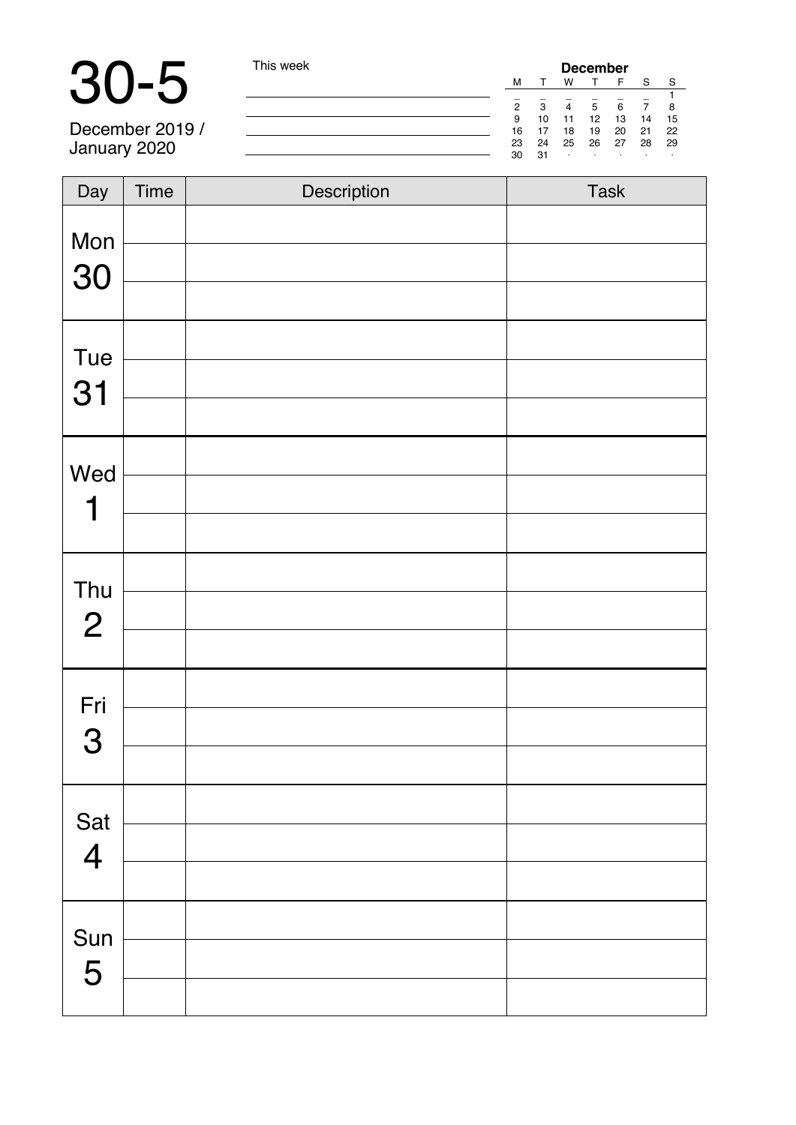# 30-5 This week

December 2019 / January 2020

|                |          |          | December |          |          |          |
|----------------|----------|----------|----------|----------|----------|----------|
| м              |          | w        |          | F        | S        | s        |
| $\overline{2}$ | 3        | 4        | 5        | 6        |          | 8        |
| 9              | 10       | 11       | 12       | 13       | 14       | 15       |
| 16<br>23       | 17<br>24 | 18<br>25 | 19<br>26 | 20<br>27 | 21<br>28 | 22<br>29 |
| 30             | 31       | ٠        | ٠        | i.       | i.       | ٠        |

| Day                     | Time | Description | Task |
|-------------------------|------|-------------|------|
| Mon                     |      |             |      |
| 30                      |      |             |      |
|                         |      |             |      |
| Tue                     |      |             |      |
| 31                      |      |             |      |
|                         |      |             |      |
| Wed                     |      |             |      |
| 1                       |      |             |      |
|                         |      |             |      |
| Thu                     |      |             |      |
| $\overline{2}$          |      |             |      |
|                         |      |             |      |
| Fri                     |      |             |      |
| 3                       |      |             |      |
|                         |      |             |      |
| Sat                     |      |             |      |
| $\overline{\mathbf{4}}$ |      |             |      |
|                         |      |             |      |
|                         |      |             |      |
| Sun<br>5                |      |             |      |
|                         |      |             |      |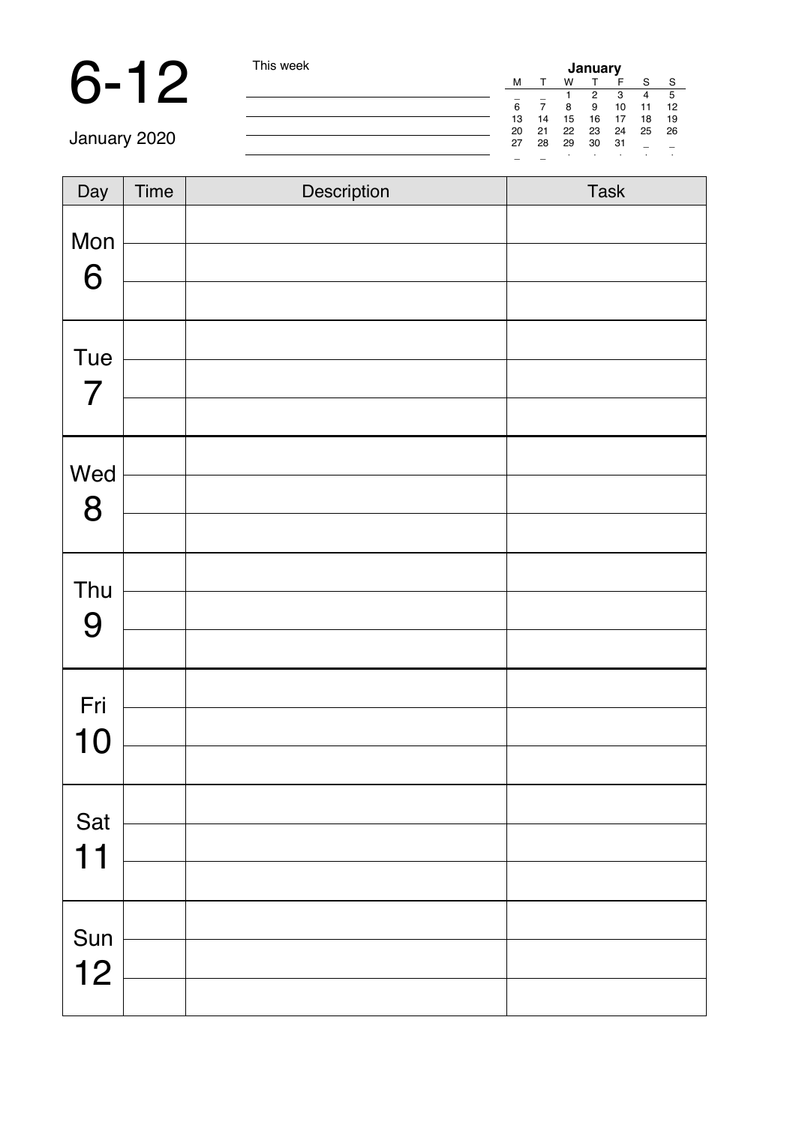### 6-12 This week

| January |    |    |    |    |    |    |
|---------|----|----|----|----|----|----|
| M       |    | w  |    | F  | s  | s  |
|         |    |    | 2  | 3  |    | 5  |
| 6       |    | 8  | я  | 10 | 11 | 12 |
| 13      | 14 | 15 | 16 | 17 | 18 | 19 |
| 20      | 21 | 22 | 23 | 24 | 25 | 26 |
| 27      | 28 | 29 | 30 | 31 |    |    |
|         |    | ٠  | ٠  | i. | ٠  | ٠  |

| $\overline{Day}$ | Time | Description | Task |
|------------------|------|-------------|------|
| Mon              |      |             |      |
| 6                |      |             |      |
|                  |      |             |      |
| Tue              |      |             |      |
| $\overline{7}$   |      |             |      |
|                  |      |             |      |
| Wed              |      |             |      |
| 8                |      |             |      |
|                  |      |             |      |
| Thu              |      |             |      |
| 9                |      |             |      |
|                  |      |             |      |
| Fri              |      |             |      |
| 10               |      |             |      |
|                  |      |             |      |
| Sat              |      |             |      |
| 11               |      |             |      |
|                  |      |             |      |
| Sun              |      |             |      |
| 12               |      |             |      |
|                  |      |             |      |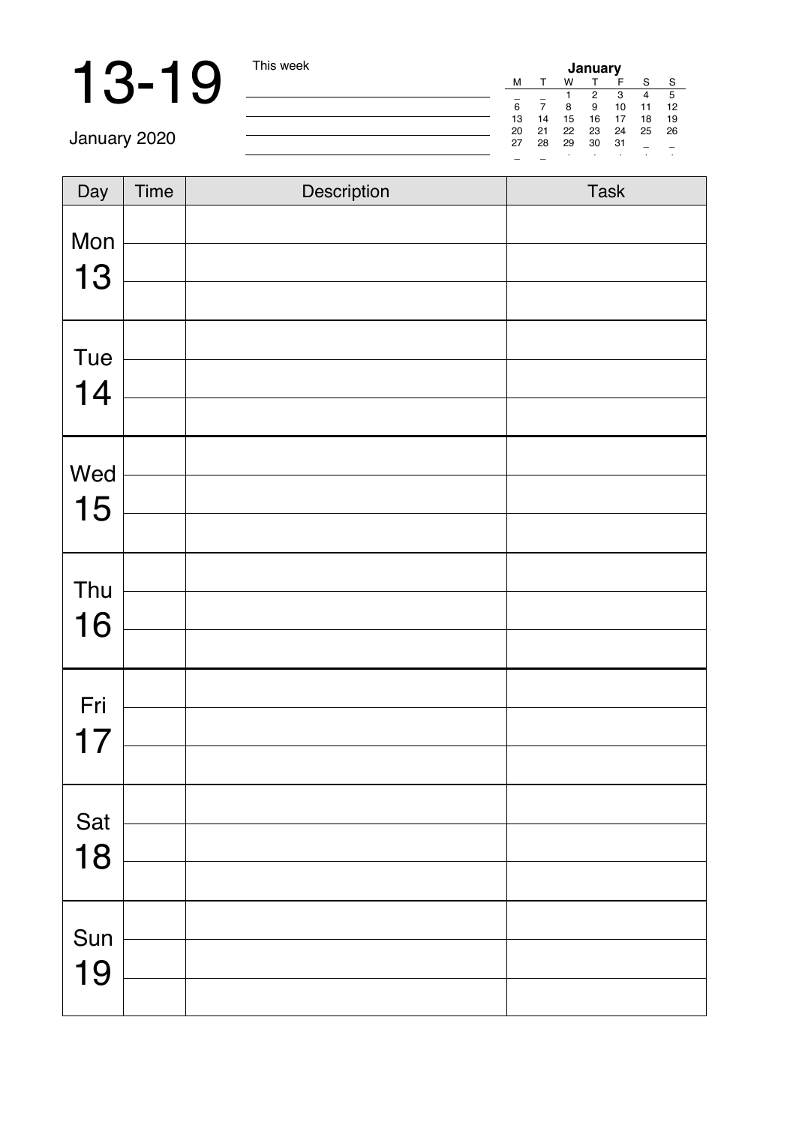| Day | Time | Description | Task |
|-----|------|-------------|------|
| Mon |      |             |      |
|     |      |             |      |
| 13  |      |             |      |
| Tue |      |             |      |
| 14  |      |             |      |
|     |      |             |      |
| Wed |      |             |      |
| 15  |      |             |      |
|     |      |             |      |
| Thu |      |             |      |
| 16  |      |             |      |
|     |      |             |      |
| Fri |      |             |      |
| 17  |      |             |      |
|     |      |             |      |
| Sat |      |             |      |
| 18  |      |             |      |
|     |      |             |      |
| Sun |      |             |      |
| 19  |      |             |      |
|     |      |             |      |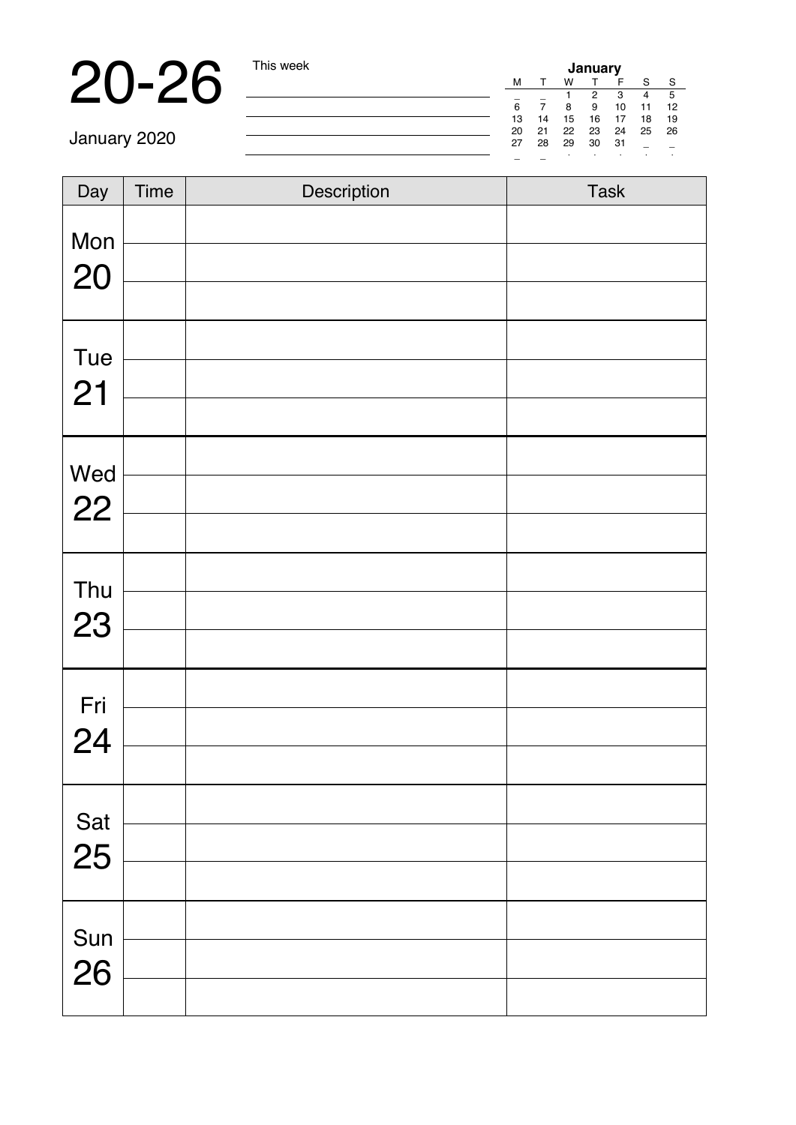**20-26** This week<br>
January 2020 **Interference and Contact Contact Contact Contact Contact Contact Contact Contact Contact Contact Contact Contact Contact Contact Contact Contact Contact Contact Contact Contact Contact Cont** 

| Day | Time | Description | Task |
|-----|------|-------------|------|
| Mon |      |             |      |
| 20  |      |             |      |
|     |      |             |      |
| Tue |      |             |      |
| 21  |      |             |      |
|     |      |             |      |
| Wed |      |             |      |
| 22  |      |             |      |
|     |      |             |      |
| Thu |      |             |      |
| 23  |      |             |      |
|     |      |             |      |
| Fri |      |             |      |
| 24  |      |             |      |
|     |      |             |      |
| Sat |      |             |      |
| 25  |      |             |      |
|     |      |             |      |
| Sun |      |             |      |
| 26  |      |             |      |
|     |      |             |      |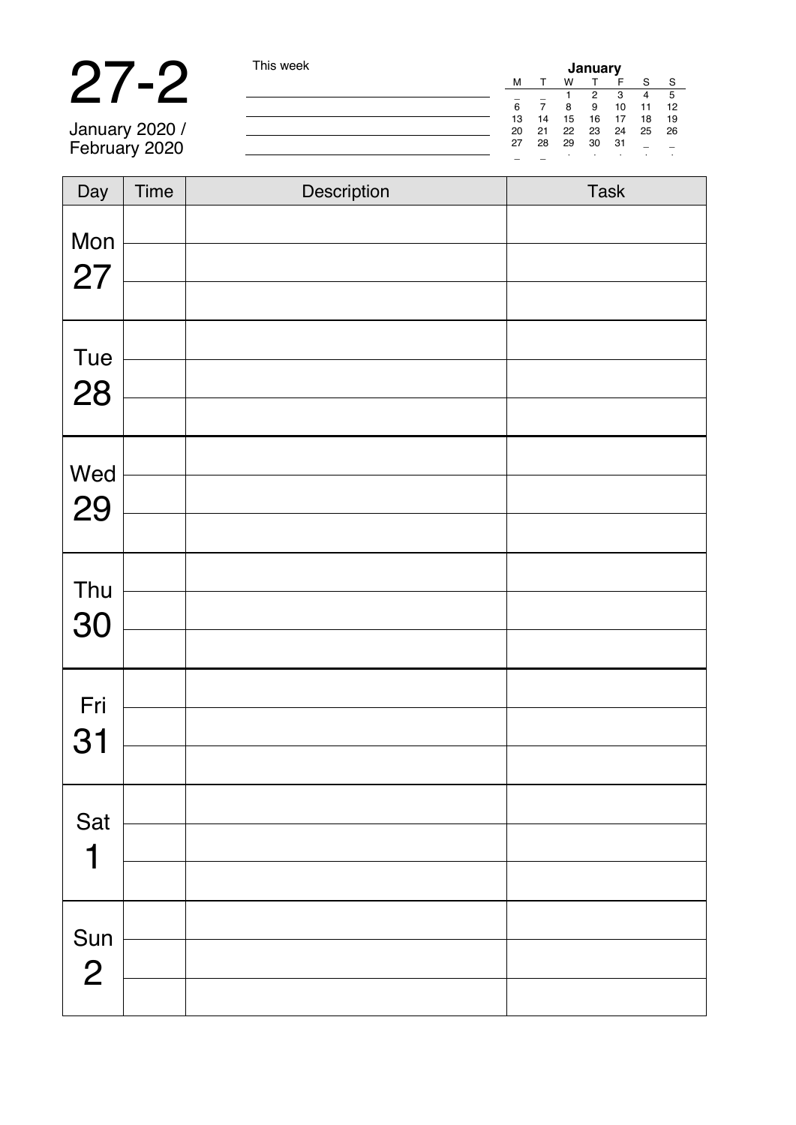# 27-2 This week

January 2020 / February 2020

| January |    |    |    |    |    |    |  |
|---------|----|----|----|----|----|----|--|
| M       |    | w  |    | F  | S  | s  |  |
|         |    |    | 2  | 3  |    | 5  |  |
| 6       |    | 8  | g  | 10 | 11 | 12 |  |
| 13      | 14 | 15 | 16 | 17 | 18 | 19 |  |
| 20      | 21 | 22 | 23 | 24 | 25 | 26 |  |
| 27      | 28 | 29 | 30 | 31 | ۰  |    |  |
|         |    | ٠  | ٠  | i. | ٠  | í, |  |

| Day            | Time | Description | Task |
|----------------|------|-------------|------|
| Mon            |      |             |      |
| 27             |      |             |      |
|                |      |             |      |
| Tue            |      |             |      |
| 28             |      |             |      |
|                |      |             |      |
| Wed            |      |             |      |
| 29             |      |             |      |
|                |      |             |      |
| Thu            |      |             |      |
| 30             |      |             |      |
|                |      |             |      |
| Fri            |      |             |      |
| 31             |      |             |      |
|                |      |             |      |
| Sat            |      |             |      |
| 1              |      |             |      |
|                |      |             |      |
| Sun            |      |             |      |
| $\overline{2}$ |      |             |      |
|                |      |             |      |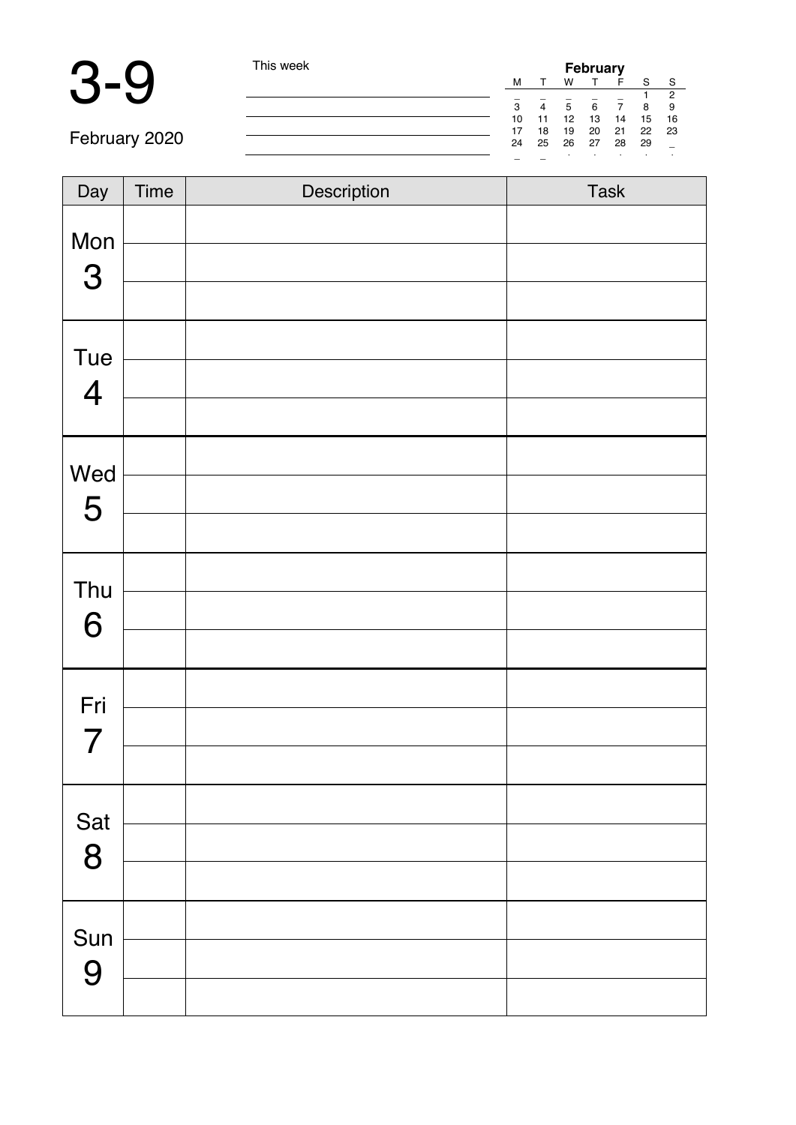

and the control of the control of the

|    |    |    | February |    |    |                |
|----|----|----|----------|----|----|----------------|
| M  |    | w  |          | F  | S  | s              |
|    |    |    |          |    |    | $\overline{c}$ |
| 3  |    | 5  | 6        |    | 8  | 9              |
| 10 | 11 | 12 | 13       | 14 | 15 | 16             |
| 17 | 18 | 19 | 20       | 21 | 22 | 23             |
| 24 | 25 | 26 | 27       | 28 | 29 |                |
|    |    |    |          | ×. | i. | í,             |

February 2020

| Day                            | Time | Description | Task |
|--------------------------------|------|-------------|------|
| Mon<br>$\mbox{3}$              |      |             |      |
| Tue<br>$\overline{\mathbf{4}}$ |      |             |      |
| Wed<br>5                       |      |             |      |
| Thu<br>6                       |      |             |      |
| Fri<br>$\overline{7}$          |      |             |      |
| Sat<br>8                       |      |             |      |
| Sun<br>9                       |      |             |      |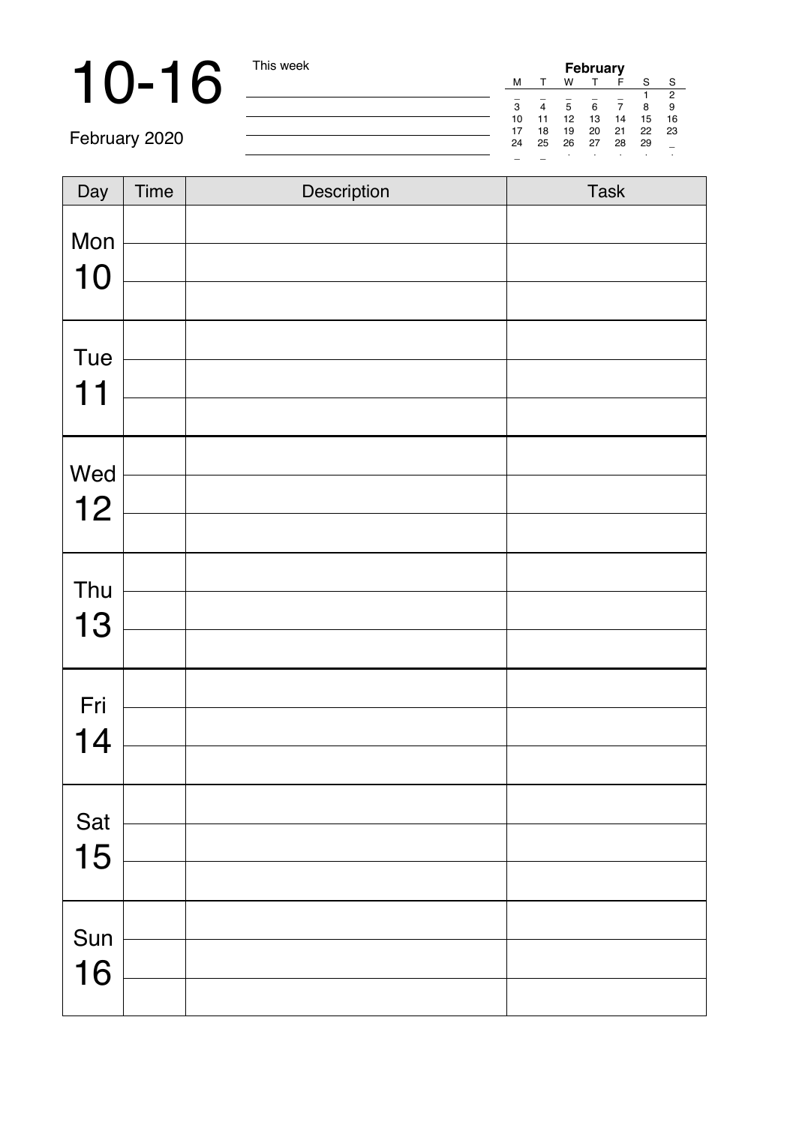**10-16** This week **February** 2020

February 2020

| Day | Time | Description | Task |
|-----|------|-------------|------|
|     |      |             |      |
| Mon |      |             |      |
| 10  |      |             |      |
| Tue |      |             |      |
| 11  |      |             |      |
|     |      |             |      |
| Wed |      |             |      |
| 12  |      |             |      |
|     |      |             |      |
| Thu |      |             |      |
| 13  |      |             |      |
|     |      |             |      |
| Fri |      |             |      |
| 14  |      |             |      |
|     |      |             |      |
| Sat |      |             |      |
| 15  |      |             |      |
|     |      |             |      |
| Sun |      |             |      |
| 16  |      |             |      |
|     |      |             |      |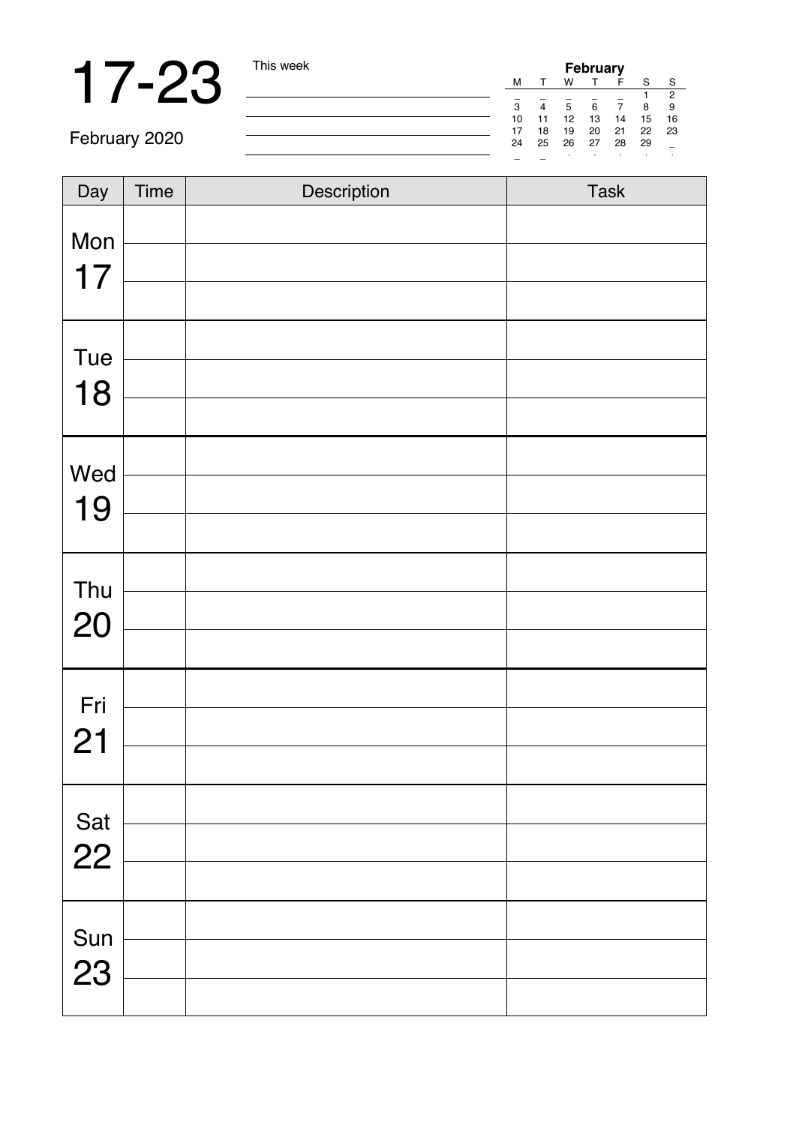# 17-23 This week

|   | February |    |    |    |    |    |                |
|---|----------|----|----|----|----|----|----------------|
|   | M        |    | w  |    | F  | s  | s              |
|   |          |    |    |    |    |    | $\overline{2}$ |
|   | 3        |    | 5  | 6  |    | 8  | g              |
|   | 10       | 11 | 12 | 13 | 14 | 15 | 16             |
| í | 17       | 18 | 19 | 20 | 21 | 22 | 23             |
|   | 24       | 25 | 26 | 27 | 28 | 29 |                |
|   |          |    |    |    | ×. |    | í,             |

February 2020

| Day | Time | Description | Task |
|-----|------|-------------|------|
| Mon |      |             |      |
| 17  |      |             |      |
|     |      |             |      |
| Tue |      |             |      |
| 18  |      |             |      |
|     |      |             |      |
| Wed |      |             |      |
| 19  |      |             |      |
|     |      |             |      |
| Thu |      |             |      |
| 20  |      |             |      |
|     |      |             |      |
| Fri |      |             |      |
| 21  |      |             |      |
|     |      |             |      |
| Sat |      |             |      |
| 22  |      |             |      |
|     |      |             |      |
| Sun |      |             |      |
| 23  |      |             |      |
|     |      |             |      |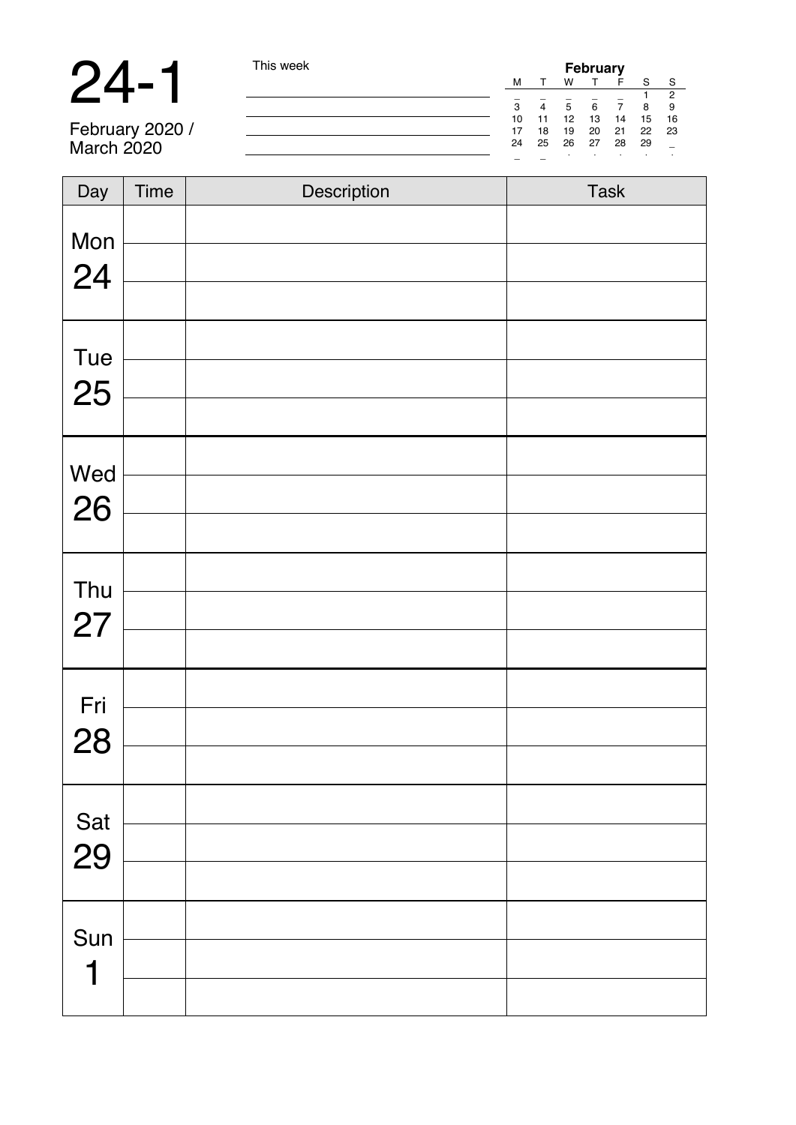**24 - 1** This week **February**<br>
February 2020 / **February 2020 / The Super Life of The State of the State of the State of The State 2021<br>
March 2020 / <b>Contract of the State 2021 22**<br>
24 25 26 27 28 29 29 29 1

February 2020 / March 2020

| Day       | Time | Description | Task |
|-----------|------|-------------|------|
| Mon<br>24 |      |             |      |
|           |      |             |      |
| Tue       |      |             |      |
| 25        |      |             |      |
|           |      |             |      |
| Wed       |      |             |      |
| 26        |      |             |      |
|           |      |             |      |
| Thu       |      |             |      |
| 27        |      |             |      |
|           |      |             |      |
| Fri       |      |             |      |
| 28        |      |             |      |
|           |      |             |      |
| Sat       |      |             |      |
| 29        |      |             |      |
|           |      |             |      |
| Sun       |      |             |      |
| 1         |      |             |      |
|           |      |             |      |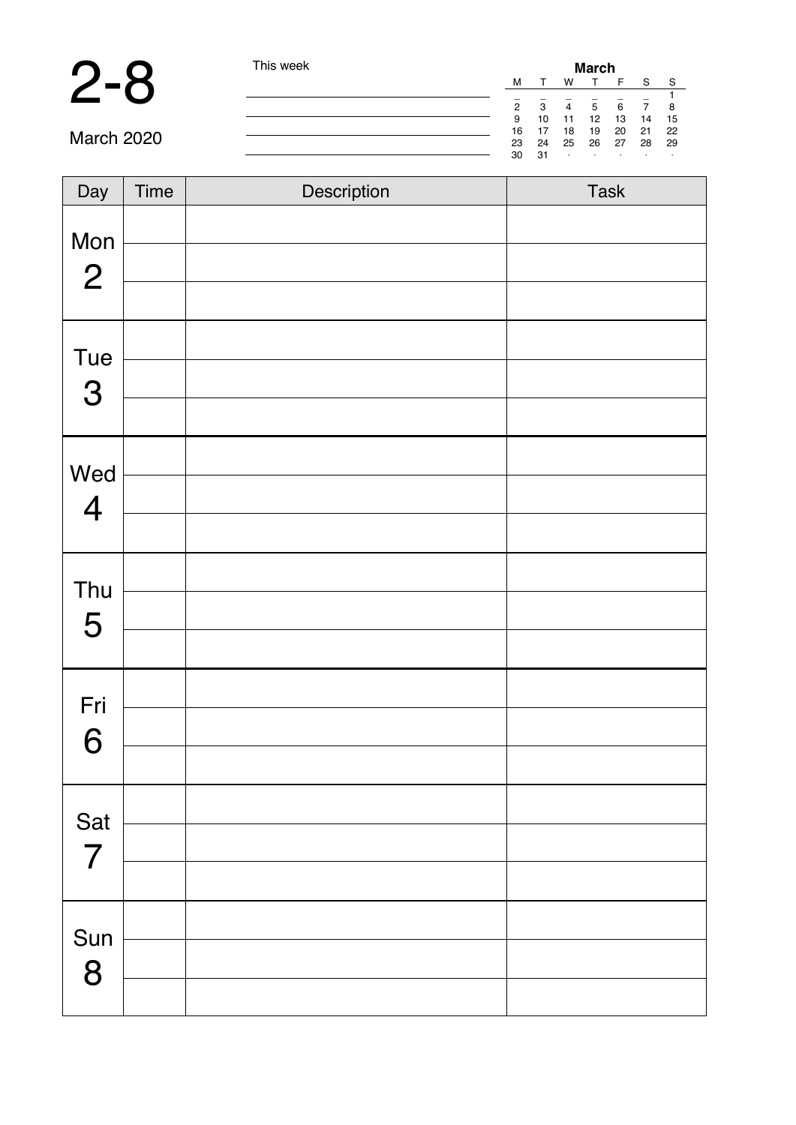### 2-8 This week

| This week |  |
|-----------|--|

| March |    |    |    |    |    |    |
|-------|----|----|----|----|----|----|
| м     |    | w  |    | F  | s  | s  |
|       |    |    |    |    |    |    |
| 2     | 3  | 4  | 5  | 6  |    | 8  |
| 9     | 10 | 11 | 12 | 13 | 14 | 15 |
| 16    | 17 | 18 | 19 | 20 | 21 | 22 |
| 23    | 24 | 25 | 26 | 27 | 28 | 29 |
| 30    | 31 | ٠  | ٠  | ٠  | ٠  | ٠  |

March 2020

| Day                       | Time | Description | Task |
|---------------------------|------|-------------|------|
| Mon<br>$\mathbf{2}$       |      |             |      |
|                           |      |             |      |
| Tue                       |      |             |      |
| $\ensuremath{\mathsf{3}}$ |      |             |      |
|                           |      |             |      |
| Wed                       |      |             |      |
| $\overline{\mathbf{4}}$   |      |             |      |
|                           |      |             |      |
| Thu                       |      |             |      |
| 5                         |      |             |      |
|                           |      |             |      |
| Fri                       |      |             |      |
| 6                         |      |             |      |
|                           |      |             |      |
| Sat                       |      |             |      |
| $\overline{7}$            |      |             |      |
|                           |      |             |      |
| Sun                       |      |             |      |
| 8                         |      |             |      |
|                           |      |             |      |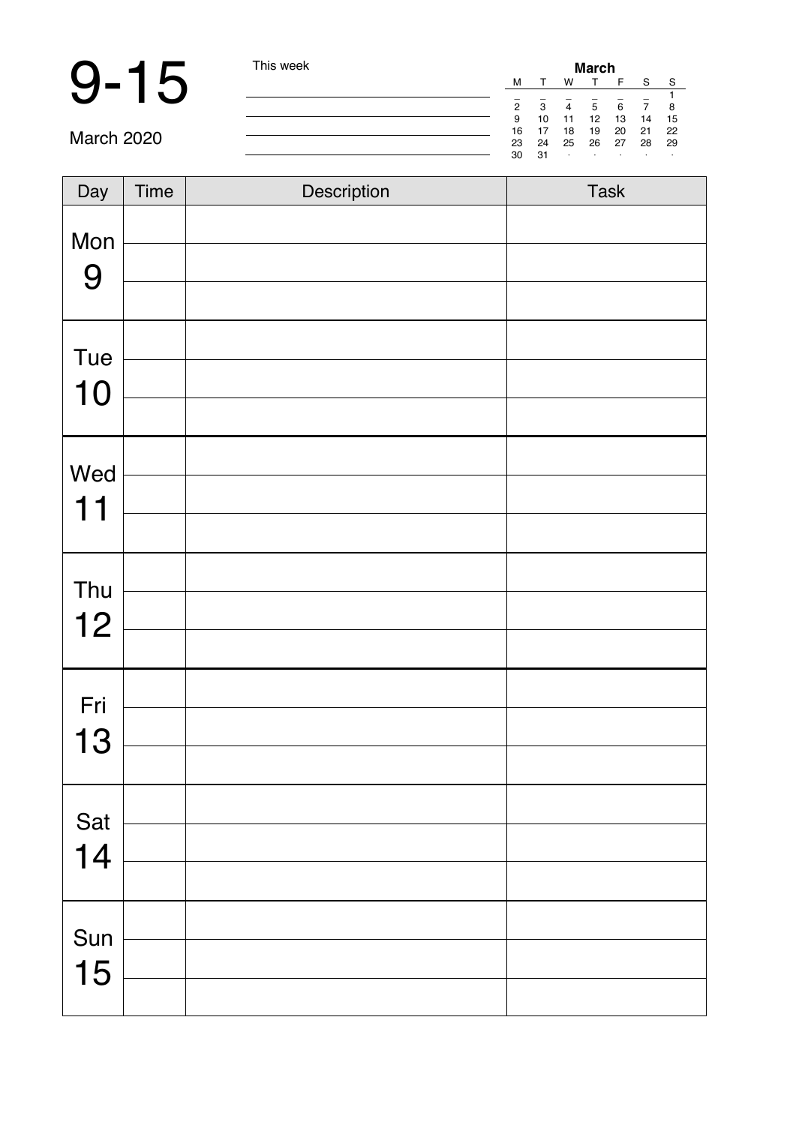# 9-15 This week

| March |    |    |    |    |    |    |
|-------|----|----|----|----|----|----|
| M     |    | w  |    | F  | s  | s  |
|       |    |    |    |    |    |    |
| 2     | 3  | 4  | 5  | 6  |    | 8  |
| 9     | 10 | 11 | 12 | 13 | 14 | 15 |
| 16    | 17 | 18 | 19 | 20 | 21 | 22 |
| 23    | 24 | 25 | 26 | 27 | 28 | 29 |
| 30    | 31 | ٠  | ٠  | i. | i. |    |

March 2020

| Day | Time | Description | Task |
|-----|------|-------------|------|
| Mon |      |             |      |
| 9   |      |             |      |
|     |      |             |      |
| Tue |      |             |      |
| 10  |      |             |      |
|     |      |             |      |
| Wed |      |             |      |
| 11  |      |             |      |
|     |      |             |      |
| Thu |      |             |      |
| 12  |      |             |      |
|     |      |             |      |
| Fri |      |             |      |
| 13  |      |             |      |
|     |      |             |      |
| Sat |      |             |      |
| 14  |      |             |      |
|     |      |             |      |
| Sun |      |             |      |
| 15  |      |             |      |
|     |      |             |      |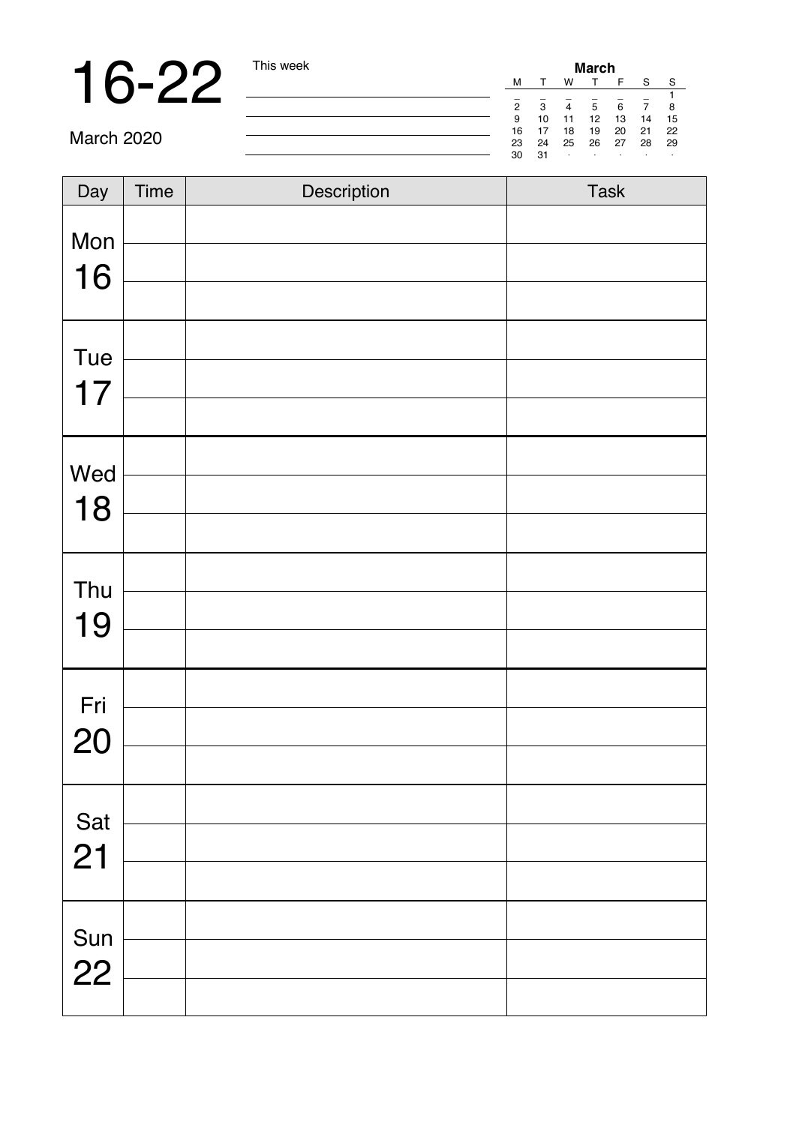# 16-22 <u>This week</u>

| March          |    |    |    |    |    |    |  |
|----------------|----|----|----|----|----|----|--|
| M              |    | w  |    | F  | s  | Ś  |  |
| $\sim$         |    |    |    | -  |    | 1  |  |
| $\overline{2}$ | 3  | 4  | 5  | 6  |    | 8  |  |
| 9              | 10 | 11 | 12 | 13 | 14 | 15 |  |
| 16             | 17 | 18 | 19 | 20 | 21 | 22 |  |
| 23             | 24 | 25 | 26 | 27 | 28 | 29 |  |
| 30             | 31 | í, | ٠  | ٠  | ٠  | ٠  |  |

March 2020

| Day | Time | Description | Task |
|-----|------|-------------|------|
| Mon |      |             |      |
| 16  |      |             |      |
|     |      |             |      |
| Tue |      |             |      |
| 17  |      |             |      |
|     |      |             |      |
| Wed |      |             |      |
| 18  |      |             |      |
|     |      |             |      |
| Thu |      |             |      |
| 19  |      |             |      |
|     |      |             |      |
| Fri |      |             |      |
| 20  |      |             |      |
|     |      |             |      |
| Sat |      |             |      |
| 21  |      |             |      |
|     |      |             |      |
| Sun |      |             |      |
| 22  |      |             |      |
|     |      |             |      |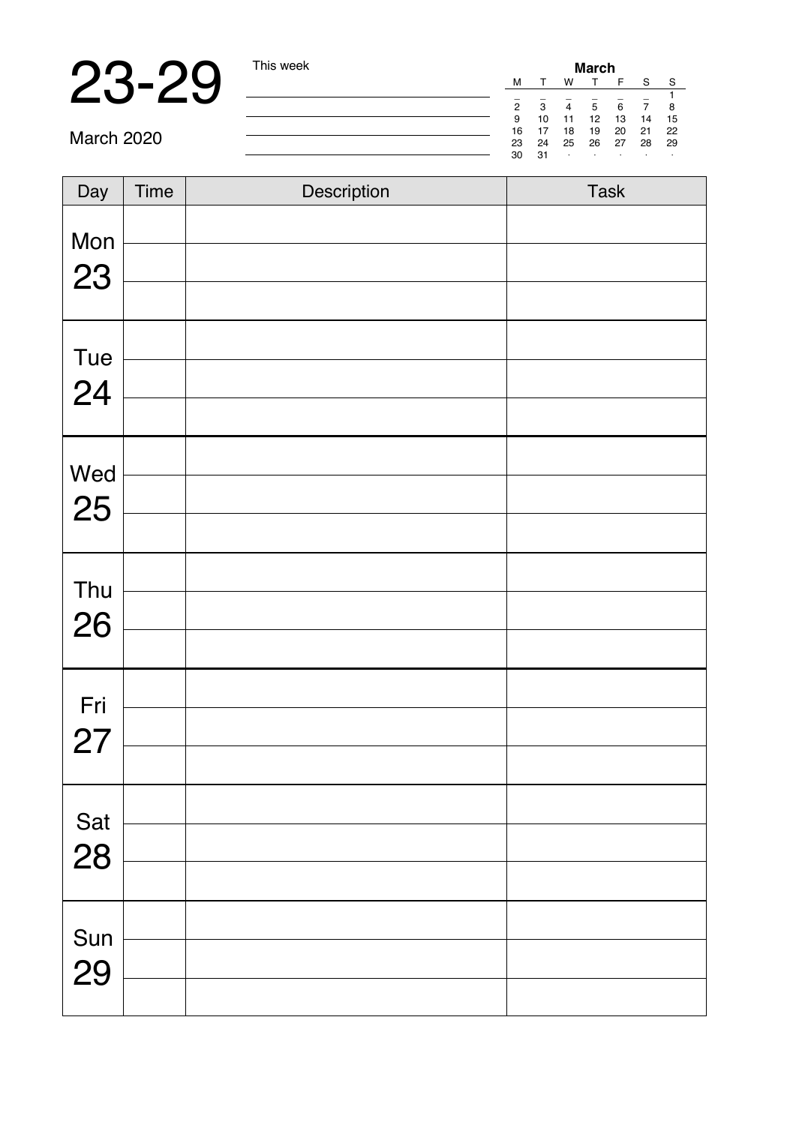# 23-29 This week

| March          |    |    |    |    |    |    |
|----------------|----|----|----|----|----|----|
| M              |    | w  |    | F  | Ś  | s  |
|                |    |    |    |    |    |    |
| $\overline{2}$ | 3  | 4  | 5  | 6  |    | 8  |
| g              | 10 | 11 | 12 | 13 | 14 | 15 |
| 16             | 17 | 18 | 19 | 20 | 21 | 22 |
| 23             | 24 | 25 | 26 | 27 | 28 | 29 |
| 30             | 31 | i. | ٠  | i. | i. | ٠  |

March 2020

| Day       | Time | Description | Task |
|-----------|------|-------------|------|
| Mon<br>23 |      |             |      |
|           |      |             |      |
| Tue       |      |             |      |
| 24        |      |             |      |
| Wed       |      |             |      |
| 25        |      |             |      |
| Thu       |      |             |      |
| 26        |      |             |      |
|           |      |             |      |
| Fri<br>27 |      |             |      |
|           |      |             |      |
| Sat       |      |             |      |
| 28        |      |             |      |
| Sun       |      |             |      |
| 29        |      |             |      |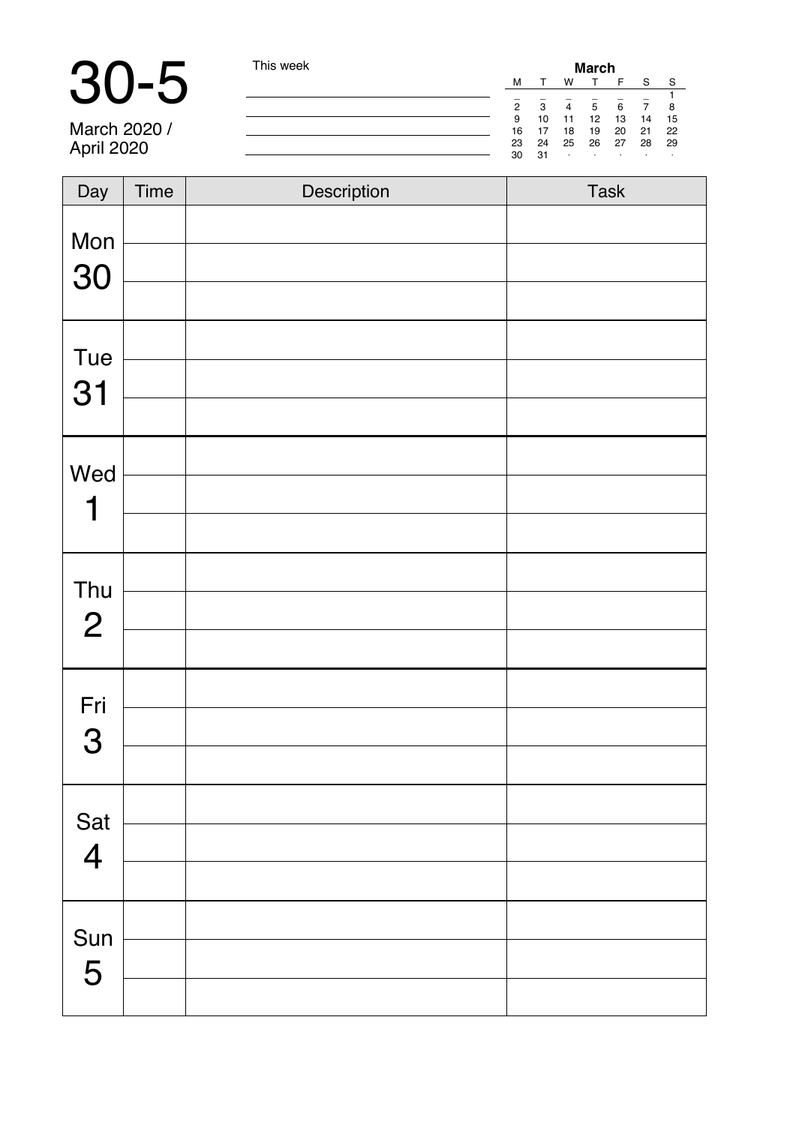# 30-5 This week

| March          |    |    |    |    |    |    |  |  |
|----------------|----|----|----|----|----|----|--|--|
| M              |    | w  |    | F  | Ś  | S  |  |  |
|                |    |    |    |    |    | 1  |  |  |
| $\overline{2}$ | 3  | 4  | 5  | 6  |    | 8  |  |  |
| 9              | 10 | 11 | 12 | 13 | 14 | 15 |  |  |
| 16             | 17 | 18 | 19 | 20 | 21 | 22 |  |  |
| 23             | 24 | 25 | 26 | 27 | 28 | 29 |  |  |
| 30             | 31 | ٠  | ٠  | i. | ٠  | ٠  |  |  |
|                |    |    |    |    |    |    |  |  |

March 2020 / April 2020

| Day                   | Time | Description | Task |
|-----------------------|------|-------------|------|
| Mon<br>30             |      |             |      |
| Tue<br>31             |      |             |      |
| Wed<br>1              |      |             |      |
| Thu<br>$\mathbf{2}$   |      |             |      |
| Fri<br>3              |      |             |      |
| Sat<br>$\overline{4}$ |      |             |      |
| Sun<br>5              |      |             |      |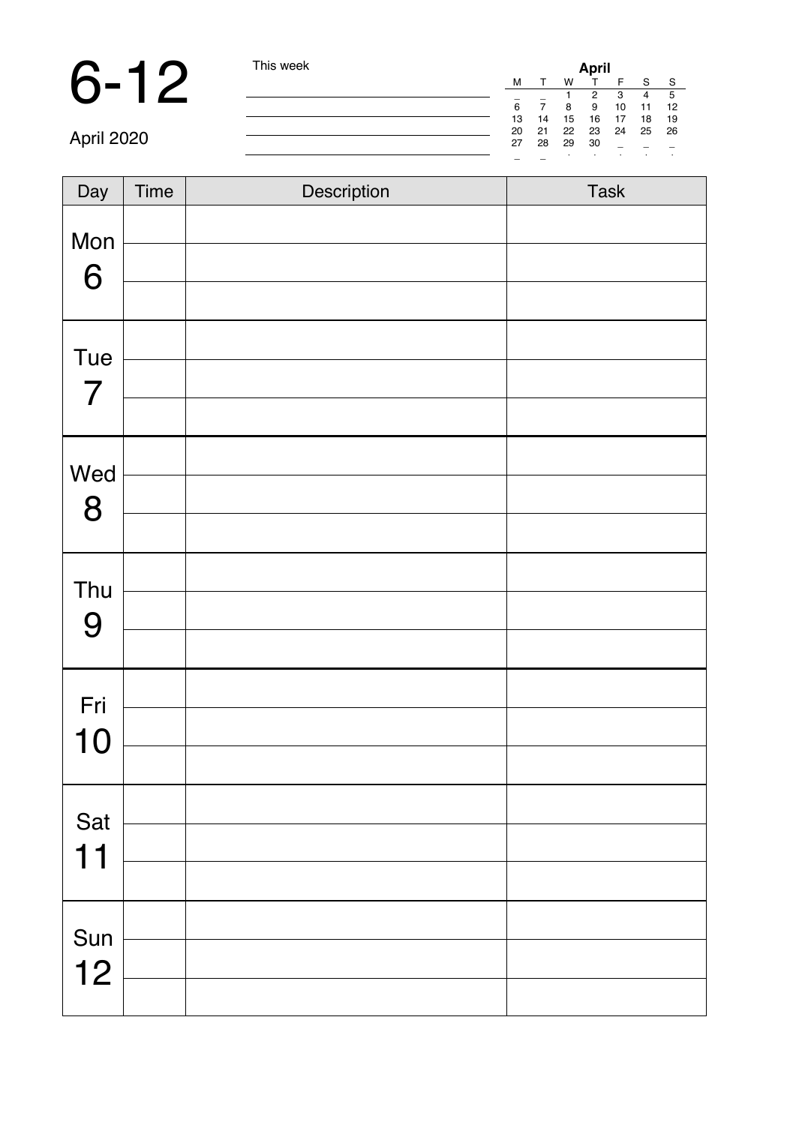### 6-12 This week

|    |    |    | April |    |    |    |
|----|----|----|-------|----|----|----|
| M  |    | w  |       | F  | S  | s  |
|    |    |    | 2     | 3  | 4  | 5  |
| 6  |    | 8  | g     | 10 | 11 | 12 |
| 13 | 14 | 15 | 16    | 17 | 18 | 19 |
| 20 | 21 | 22 | 23    | 24 | 25 | 26 |
| 27 | 28 | 29 | 30    |    |    |    |
|    |    | ٠  | ٠     | ٠  | ٠  | í, |

April 2020

| Day                   | Time | Description | Task |
|-----------------------|------|-------------|------|
| Mon<br>6              |      |             |      |
|                       |      |             |      |
| Tue<br>$\overline{7}$ |      |             |      |
|                       |      |             |      |
| Wed                   |      |             |      |
| 8                     |      |             |      |
|                       |      |             |      |
| Thu                   |      |             |      |
| 9                     |      |             |      |
|                       |      |             |      |
| Fri                   |      |             |      |
| 10                    |      |             |      |
|                       |      |             |      |
| Sat                   |      |             |      |
| 11                    |      |             |      |
|                       |      |             |      |
| Sun                   |      |             |      |
| 12                    |      |             |      |
|                       |      |             |      |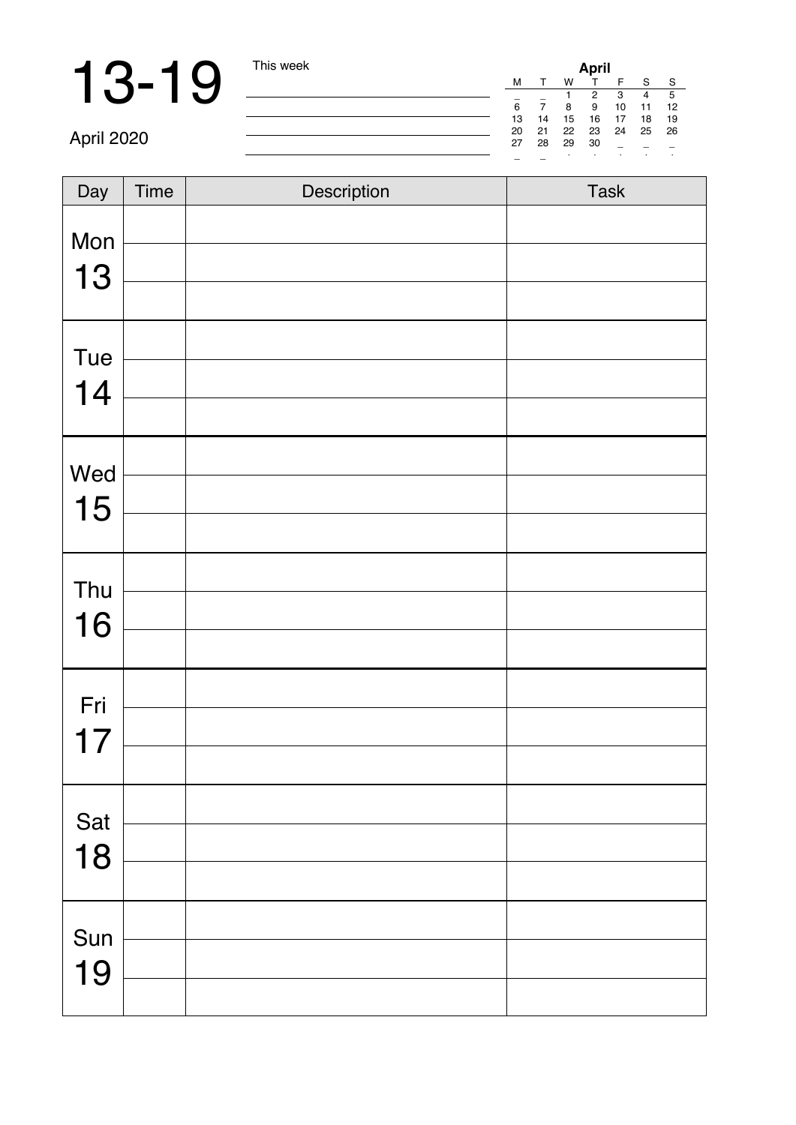**13-19** This week **April** 2020<br>
April 2020<br> **April 2020** 

April 2020

| Day | Time | Description | Task |
|-----|------|-------------|------|
| Mon |      |             |      |
|     |      |             |      |
| 13  |      |             |      |
| Tue |      |             |      |
| 14  |      |             |      |
|     |      |             |      |
| Wed |      |             |      |
| 15  |      |             |      |
|     |      |             |      |
| Thu |      |             |      |
| 16  |      |             |      |
|     |      |             |      |
| Fri |      |             |      |
| 17  |      |             |      |
|     |      |             |      |
| Sat |      |             |      |
| 18  |      |             |      |
|     |      |             |      |
| Sun |      |             |      |
| 19  |      |             |      |
|     |      |             |      |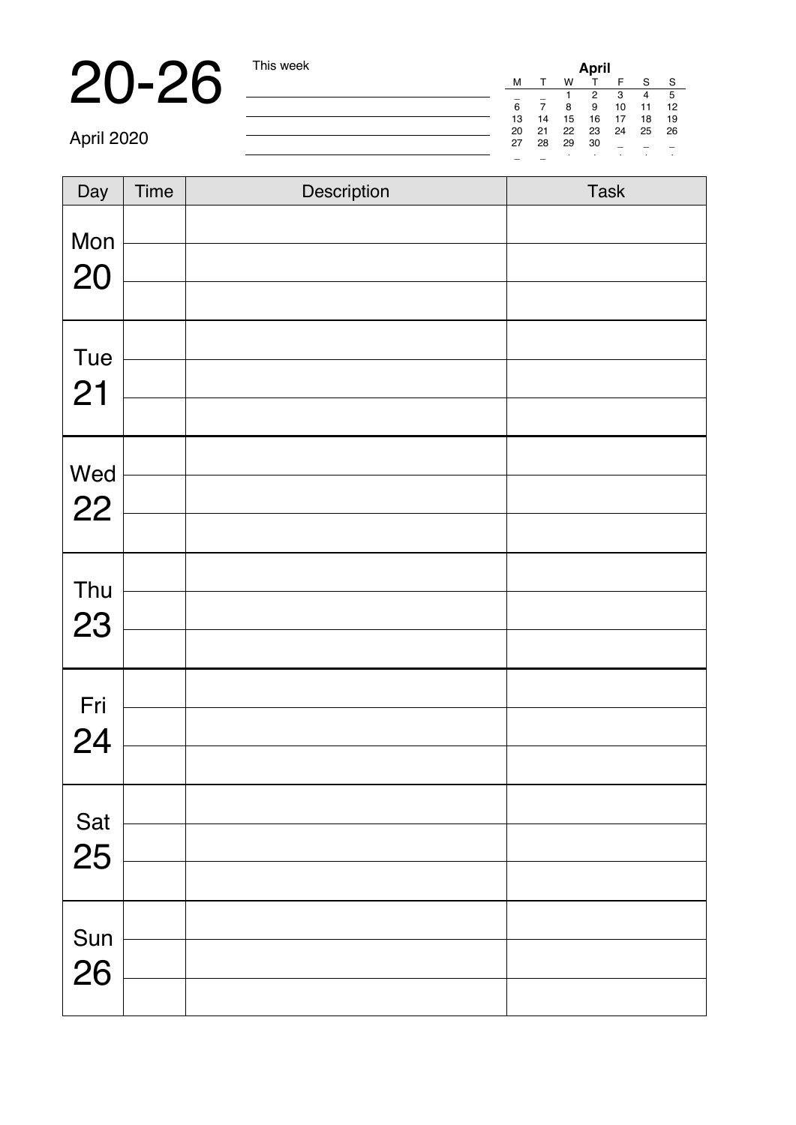**20-26** This week<br>
April 2020<br> **April 2020** 

April 2020

| $\overline{Day}$ | Time | Description | Task |
|------------------|------|-------------|------|
|                  |      |             |      |
| Mon              |      |             |      |
| 20               |      |             |      |
|                  |      |             |      |
| Tue              |      |             |      |
| 21               |      |             |      |
|                  |      |             |      |
| Wed              |      |             |      |
| 22               |      |             |      |
|                  |      |             |      |
| Thu              |      |             |      |
| 23               |      |             |      |
|                  |      |             |      |
|                  |      |             |      |
| Fri<br>24        |      |             |      |
|                  |      |             |      |
| Sat              |      |             |      |
| 25               |      |             |      |
|                  |      |             |      |
|                  |      |             |      |
| Sun<br>26        |      |             |      |
|                  |      |             |      |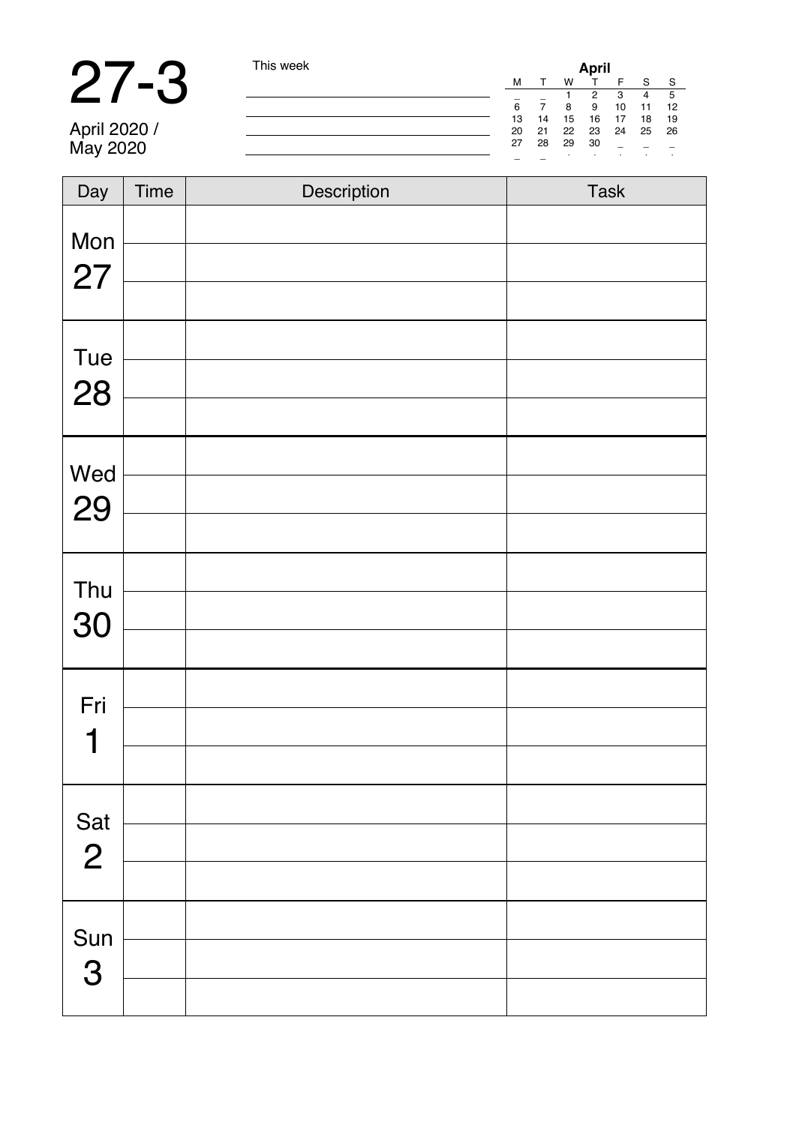# 27-3 This week

April 2020 / May 2020

| April |    |    |    |    |    |    |  |
|-------|----|----|----|----|----|----|--|
| M     |    | w  |    | F  | s  | s  |  |
|       |    |    | 2  | 3  | 4  | 5  |  |
| 6     |    | g  | 9  | 10 | 11 | 12 |  |
| 13    | 14 | 15 | 16 | 17 | 18 | 19 |  |
| 20    | 21 | 22 | 23 | 24 | 25 | 26 |  |
| 27    | 28 | 29 | 30 |    |    |    |  |
|       |    | ٠  | ٠  | i. | ٠  | í, |  |

| Day                   | Time | Description | Task |
|-----------------------|------|-------------|------|
| Mon                   |      |             |      |
| 27                    |      |             |      |
|                       |      |             |      |
| Tue                   |      |             |      |
| 28                    |      |             |      |
|                       |      |             |      |
| Wed                   |      |             |      |
| 29                    |      |             |      |
|                       |      |             |      |
| Thu                   |      |             |      |
| 30                    |      |             |      |
|                       |      |             |      |
| Fri                   |      |             |      |
| 1                     |      |             |      |
|                       |      |             |      |
|                       |      |             |      |
| Sat<br>$\overline{2}$ |      |             |      |
|                       |      |             |      |
|                       |      |             |      |
| Sun<br>3              |      |             |      |
|                       |      |             |      |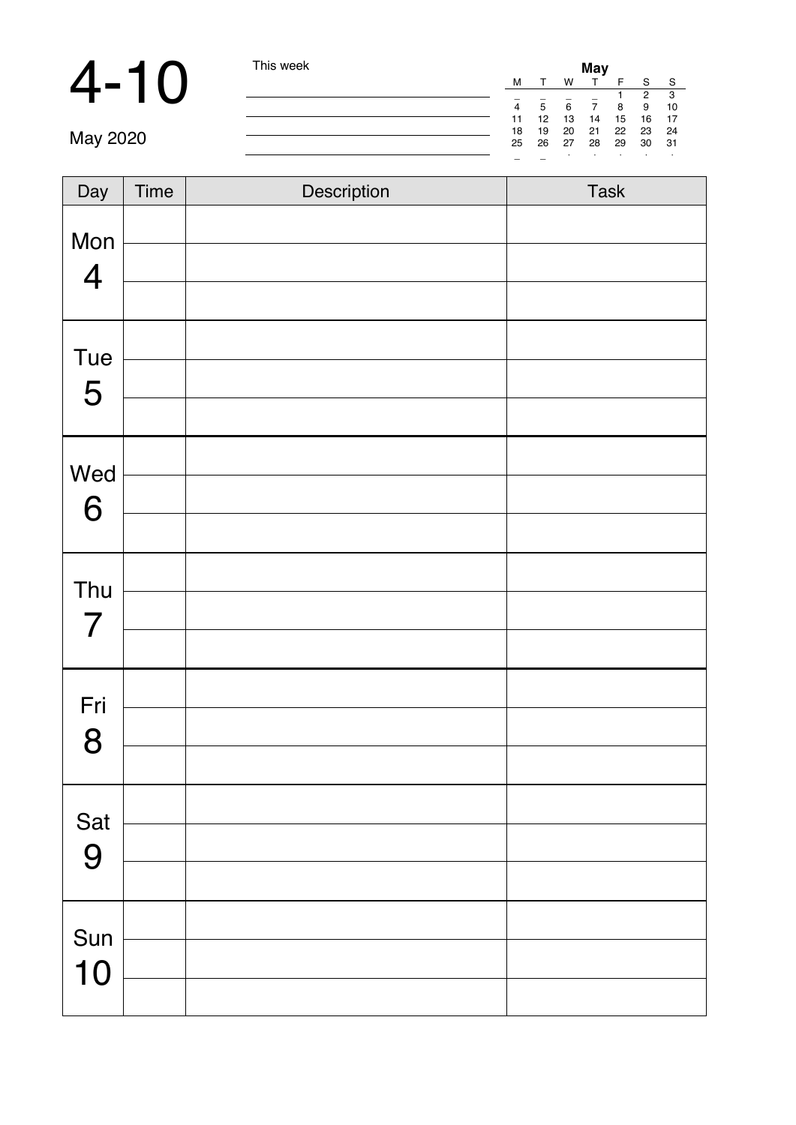### 4-10 This week

|    |    |    | May |    |                |    |
|----|----|----|-----|----|----------------|----|
| м  |    | w  |     | F  | s              | s  |
|    |    |    |     | 1  | $\overline{a}$ | 3  |
| 4  | 5  | 6  | 7   | 8  | я              | 10 |
| 11 | 12 | 13 | 14  | 15 | 16             | 17 |
| 18 | 19 | 20 | 21  | 22 | 23             | 24 |
| 25 | 26 | 27 | 28  | 29 | 30             | 31 |
|    |    |    |     | i. |                |    |

| Day | Time | Description | Task |
|-----|------|-------------|------|
| Mon |      |             |      |
| 4   |      |             |      |
| Tue |      |             |      |
| 5   |      |             |      |
|     |      |             |      |
| Wed |      |             |      |
| 6   |      |             |      |
|     |      |             |      |
| Thu |      |             |      |
| 7   |      |             |      |
|     |      |             |      |
| Fri |      |             |      |
| 8   |      |             |      |
|     |      |             |      |
| Sat |      |             |      |
| 9   |      |             |      |
|     |      |             |      |
| Sun |      |             |      |
| 10  |      |             |      |
|     |      |             |      |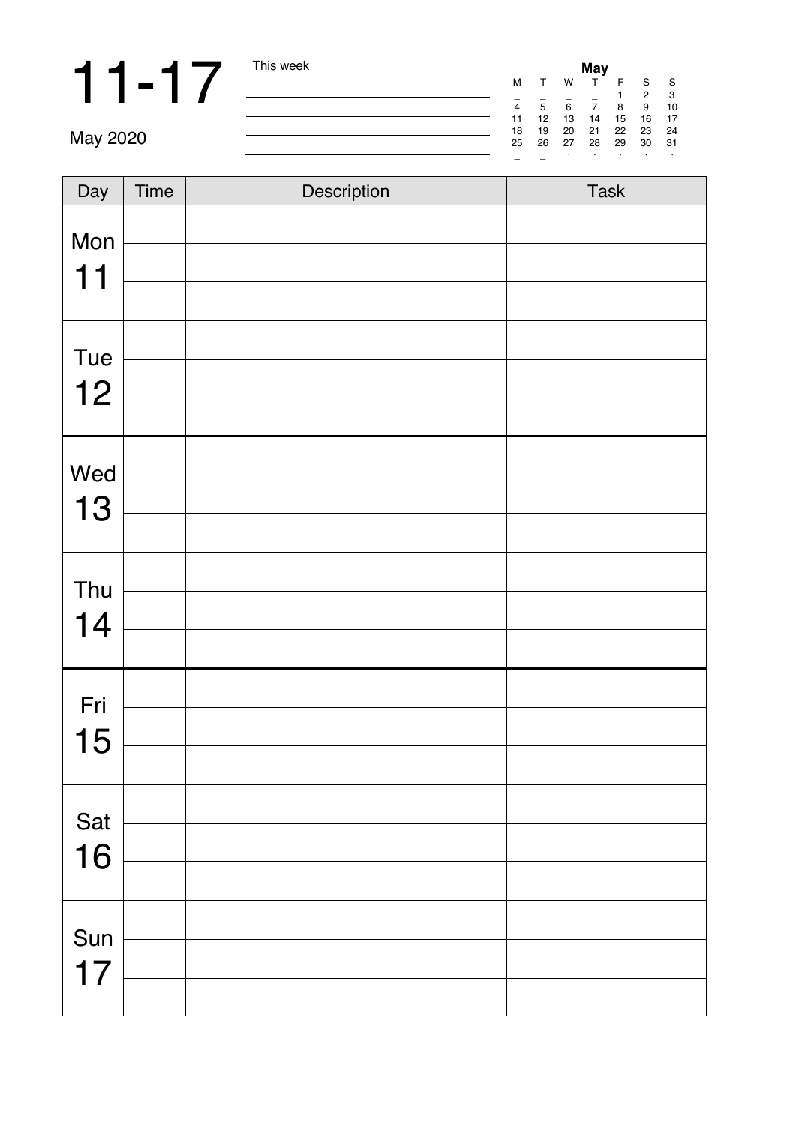**11** - 1 7 This week **May**  $\frac{M}{4}$  =  $\frac{S}{5}$   $\frac{S}{6}$   $\frac{S}{7}$   $\frac{S}{8}$   $\frac{S}{2}$   $\frac{S}{10}$   $\frac{S}{12}$  14 15  $\frac{S}{12}$   $\frac{S}{12}$   $\frac{S}{12}$   $\frac{S}{12}$   $\frac{S}{12}$   $\frac{S}{12}$   $\frac{S}{12}$   $\frac{S}{12}$   $\frac{S}{12}$   $\frac{S$ 

| Day       | Time | Description | Task |
|-----------|------|-------------|------|
| Mon<br>11 |      |             |      |
|           |      |             |      |
| Tue       |      |             |      |
| 12        |      |             |      |
|           |      |             |      |
| Wed       |      |             |      |
| 13        |      |             |      |
|           |      |             |      |
| Thu       |      |             |      |
| 14        |      |             |      |
|           |      |             |      |
| Fri       |      |             |      |
| 15        |      |             |      |
|           |      |             |      |
| Sat       |      |             |      |
| 16        |      |             |      |
|           |      |             |      |
| Sun       |      |             |      |
| 17        |      |             |      |
|           |      |             |      |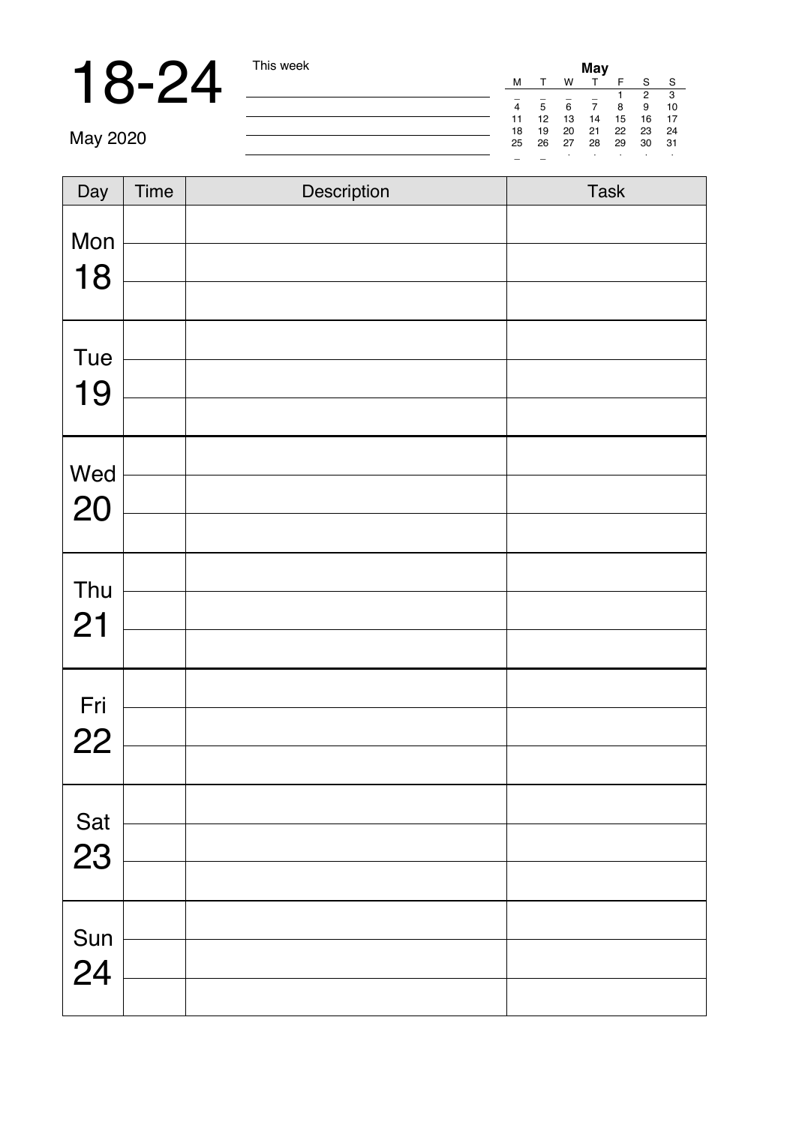**18-24** This week **May**  $2020$  This week **May**  $\frac{M}{4}$   $\frac{1}{5}$   $\frac{5}{6}$   $\frac{7}{7}$   $\frac{1}{8}$   $\frac{2}{3}$   $\frac{3}{10}$   $\frac{1}{12}$   $\frac{13}{15}$   $\frac{12}{15}$   $\frac{23}{15}$   $\frac{23}{15}$   $\frac{23}{15}$   $\frac{23}{15}$   $\frac{23}{15}$   $\frac{23}{1$ 

| Day | Time | Description | Task |
|-----|------|-------------|------|
| Mon |      |             |      |
| 18  |      |             |      |
|     |      |             |      |
| Tue |      |             |      |
| 19  |      |             |      |
|     |      |             |      |
| Wed |      |             |      |
| 20  |      |             |      |
|     |      |             |      |
| Thu |      |             |      |
| 21  |      |             |      |
|     |      |             |      |
| Fri |      |             |      |
| 22  |      |             |      |
|     |      |             |      |
| Sat |      |             |      |
| 23  |      |             |      |
|     |      |             |      |
| Sun |      |             |      |
| 24  |      |             |      |
|     |      |             |      |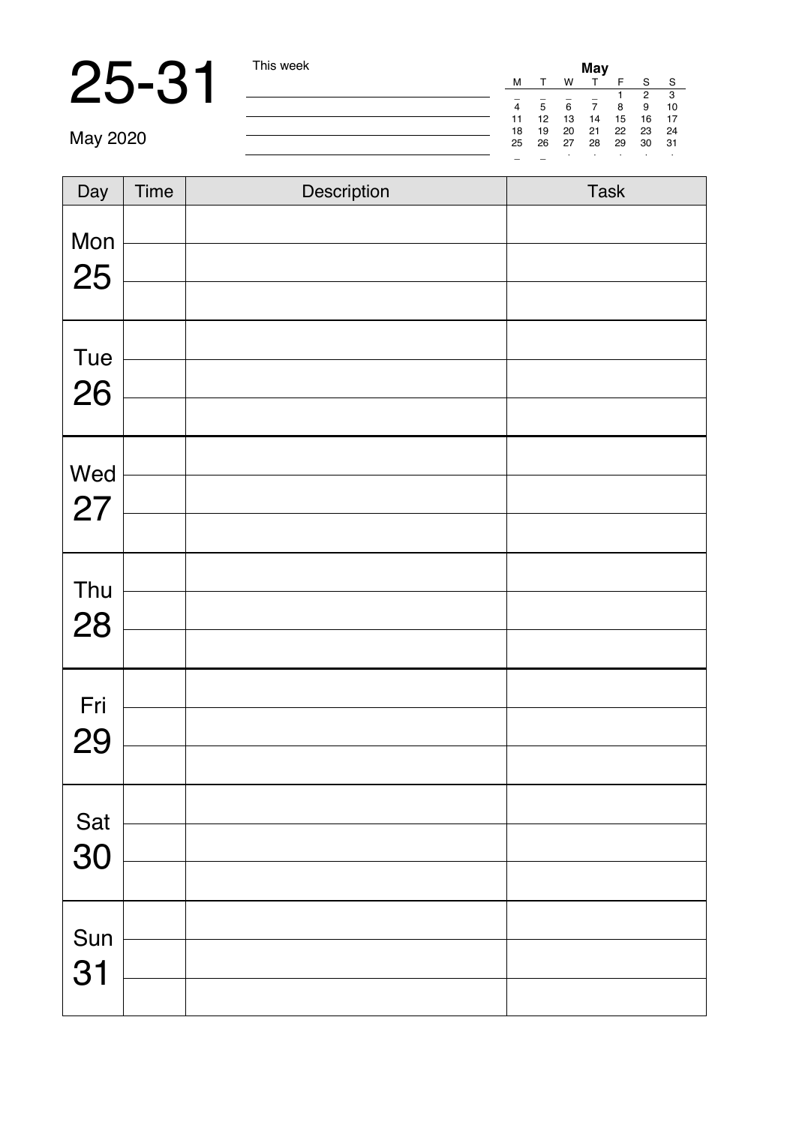|          | This week | May    |        |    |    |    |              |    |  |  |  |
|----------|-----------|--------|--------|----|----|----|--------------|----|--|--|--|
|          |           | м      |        | w  |    |    | s            | s  |  |  |  |
|          |           | $\sim$ |        | -  | ×  |    | 2            | з  |  |  |  |
|          |           | 4      | 5      | 6  |    | 8  | $\mathbf{Q}$ | 10 |  |  |  |
|          |           | 11     | 12     | 13 | 14 | 15 | 16           | 17 |  |  |  |
|          |           | 18     | 19     | 20 | 21 | 22 | 23           | 24 |  |  |  |
| May 2020 |           | 25     | 26     | 27 | 28 | 29 | 30           | 31 |  |  |  |
|          |           | $\sim$ | $\sim$ |    |    |    |              |    |  |  |  |

| Day       | Time | Description | Task |
|-----------|------|-------------|------|
| Mon<br>25 |      |             |      |
| Tue<br>26 |      |             |      |
| Wed<br>27 |      |             |      |
| Thu<br>28 |      |             |      |
| Fri<br>29 |      |             |      |
| Sat<br>30 |      |             |      |
| Sun<br>31 |      |             |      |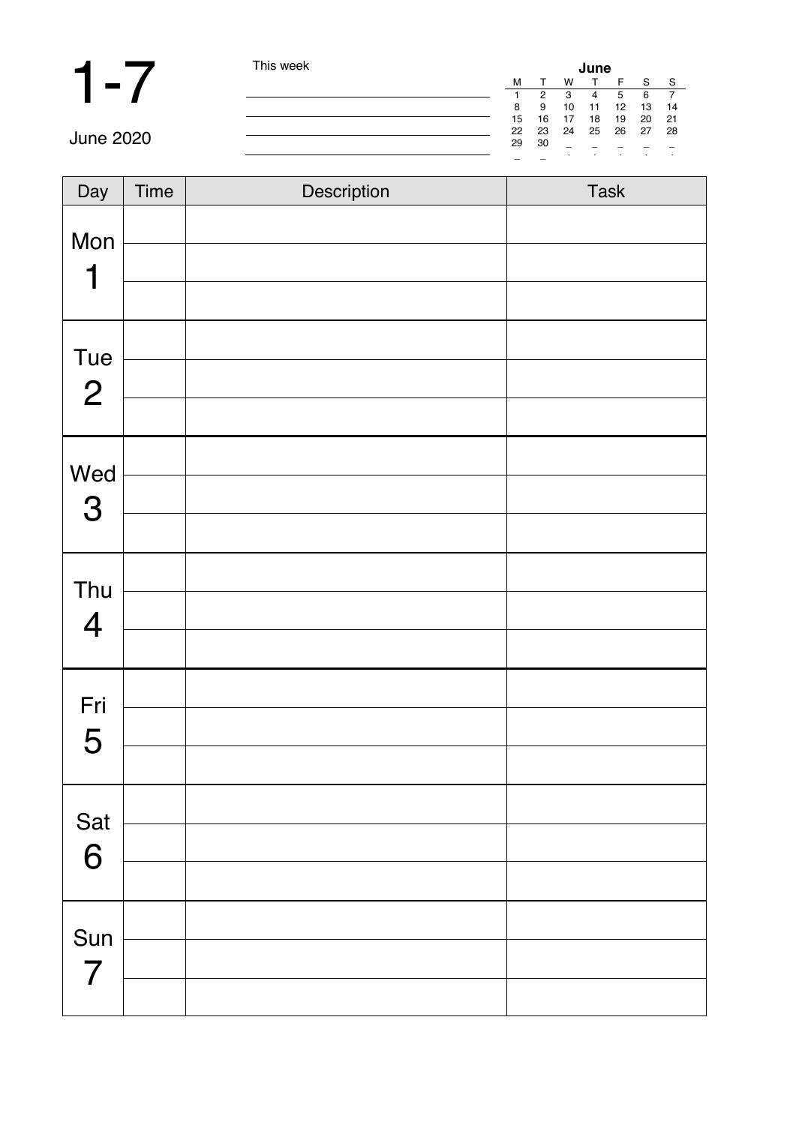# **1-7** This week

| June |    |    |    |    |    |    |  |
|------|----|----|----|----|----|----|--|
| M    |    | w  |    | F  | s  | s  |  |
|      | 2  | з  | 4  | 5  | 6  |    |  |
| 8    | g  | 10 | 11 | 12 | 13 | 14 |  |
| 15   | 16 | 17 | 18 | 19 | 20 | 21 |  |
| 22   | 23 | 24 | 25 | 26 | 27 | 28 |  |
| 29   | 30 | ÷  |    |    |    |    |  |
|      |    | ٠  | ٠  | ٠  | ٠  | ٠  |  |

| $\overline{Day}$               | Time | Description | Task |
|--------------------------------|------|-------------|------|
| Mon<br>1                       |      |             |      |
| Tue<br>$\overline{2}$          |      |             |      |
| Wed<br>$\mathbf 3$             |      |             |      |
| Thu<br>$\overline{\mathbf{4}}$ |      |             |      |
| Fri<br>5                       |      |             |      |
| Sat<br>6                       |      |             |      |
| Sun<br>7                       |      |             |      |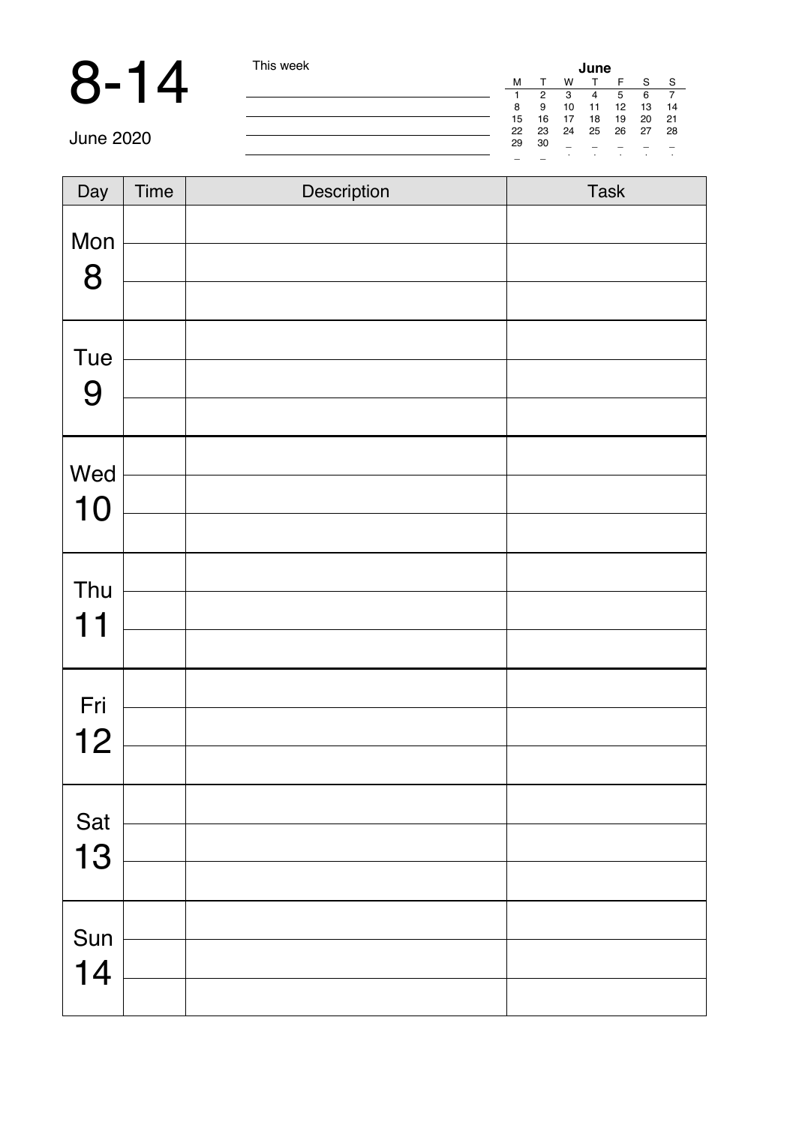|           | This week |        |    |        | June |    |    |    |
|-----------|-----------|--------|----|--------|------|----|----|----|
|           |           | M      |    | w      |      |    | e  | s  |
|           |           |        |    |        |      |    |    |    |
|           |           | 8      | 9  | 10     | 11   | 12 | 13 | 14 |
|           |           | 15     | 16 | 17     | 18   | 19 | 20 | 21 |
|           |           | 22     | 23 | 24     | 25   | 26 | 27 | 28 |
| June 2020 |           | 29     | 30 | $\sim$ |      |    |    |    |
|           |           | $\sim$ | ۰  |        |      |    |    |    |

| Day       | Time | Description | Task |
|-----------|------|-------------|------|
| Mon<br>8  |      |             |      |
| Tue<br>9  |      |             |      |
| Wed<br>10 |      |             |      |
| Thu<br>11 |      |             |      |
| Fri<br>12 |      |             |      |
| Sat<br>13 |      |             |      |
| Sun<br>14 |      |             |      |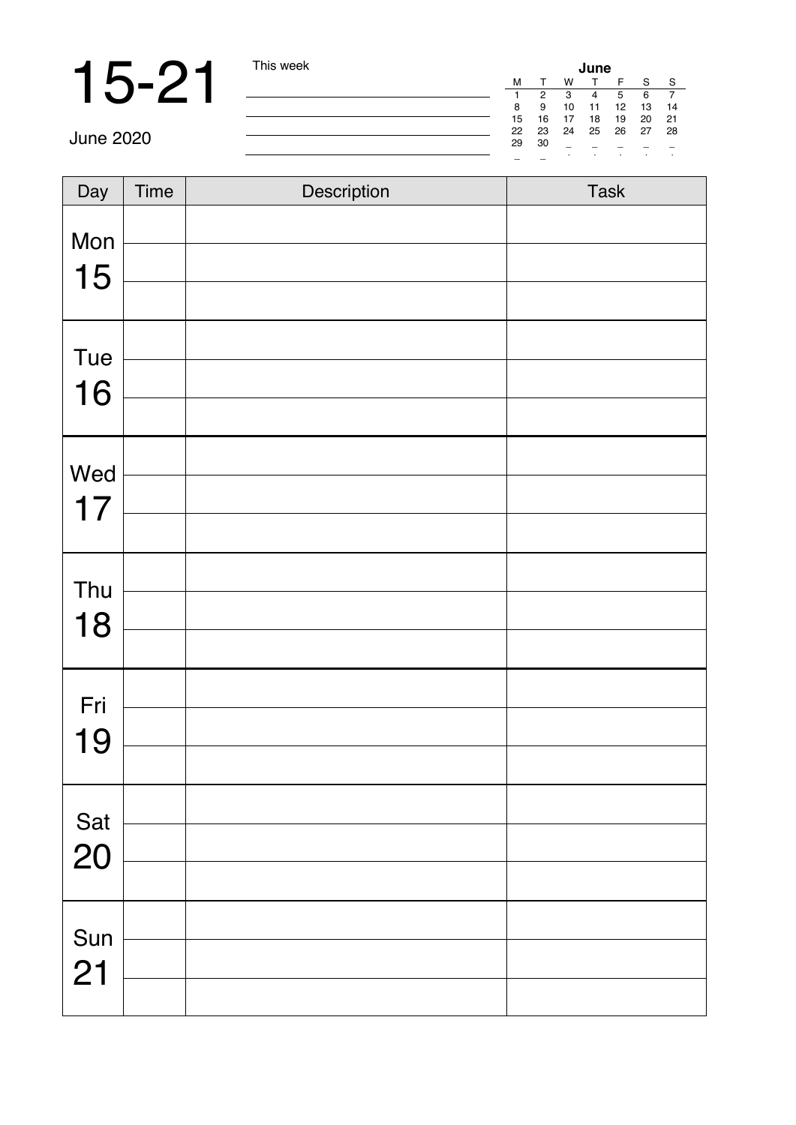# 15-21 This week

| June |    |    |    |    |    |    |  |  |  |  |
|------|----|----|----|----|----|----|--|--|--|--|
| M    |    | w  |    | F  | S  | s  |  |  |  |  |
| 1    | 2  | з  |    | 5  | 6  |    |  |  |  |  |
| 8    | g  | 10 | 11 | 12 | 13 | 14 |  |  |  |  |
| 15   | 16 | 17 | 18 | 19 | 20 | 21 |  |  |  |  |
| 22   | 23 | 24 | 25 | 26 | 27 | 28 |  |  |  |  |
| 29   | 30 | ۰  |    |    |    |    |  |  |  |  |
|      |    | ٠  | ٠  | ٠  | ٠  | ٠  |  |  |  |  |

| Day | Time | Description | Task |
|-----|------|-------------|------|
| Mon |      |             |      |
| 15  |      |             |      |
|     |      |             |      |
| Tue |      |             |      |
| 16  |      |             |      |
|     |      |             |      |
| Wed |      |             |      |
| 17  |      |             |      |
|     |      |             |      |
| Thu |      |             |      |
| 18  |      |             |      |
|     |      |             |      |
| Fri |      |             |      |
| 19  |      |             |      |
|     |      |             |      |
| Sat |      |             |      |
| 20  |      |             |      |
|     |      |             |      |
| Sun |      |             |      |
| 21  |      |             |      |
|     |      |             |      |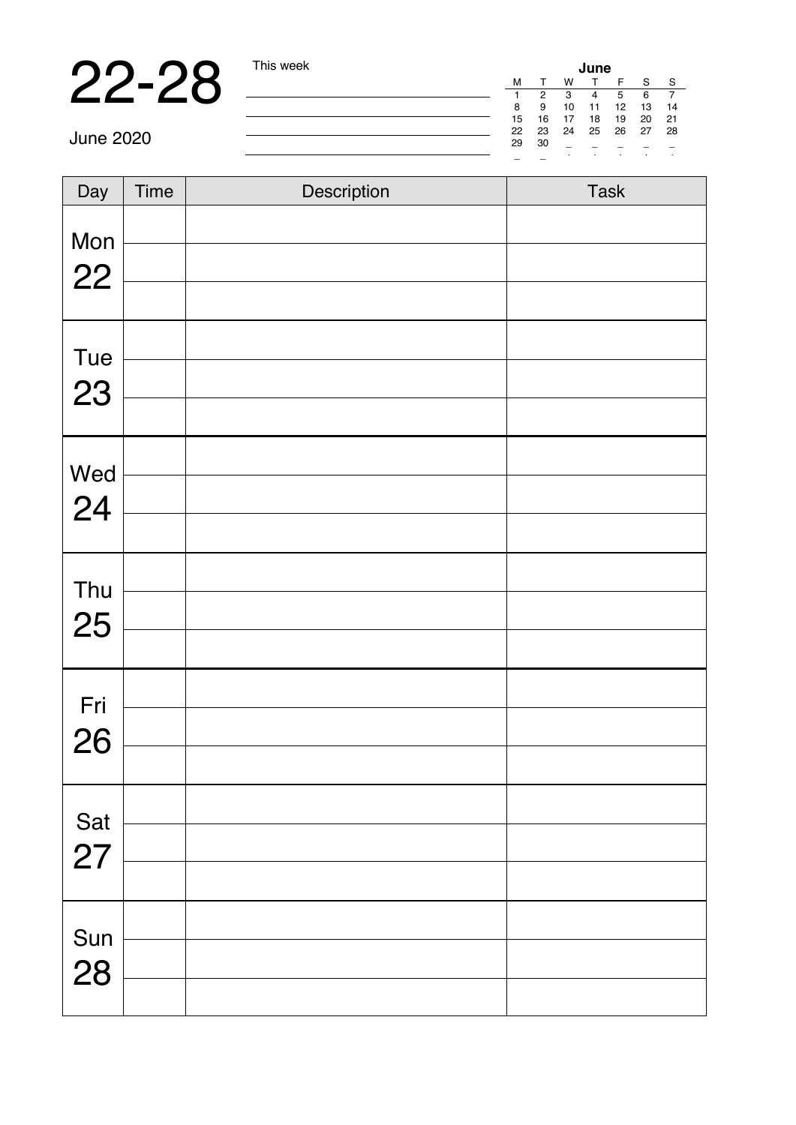**22-28** This week **June** 2020<br> **June 2020 CONSULTER SUBARITY OF THE SUBARITY OF THE SUBARITY OF THE SUBARITY OF THE SUBARITY OF THE SUBARITY OF THE SUBARITY OF THE SUBARITY OF THE SUBARITY OF THE SUBARITY OF THE SUBARITY** 

| Day | Time | Description | Task |
|-----|------|-------------|------|
| Mon |      |             |      |
| 22  |      |             |      |
|     |      |             |      |
| Tue |      |             |      |
| 23  |      |             |      |
|     |      |             |      |
| Wed |      |             |      |
| 24  |      |             |      |
|     |      |             |      |
| Thu |      |             |      |
| 25  |      |             |      |
|     |      |             |      |
| Fri |      |             |      |
| 26  |      |             |      |
|     |      |             |      |
| Sat |      |             |      |
| 27  |      |             |      |
|     |      |             |      |
| Sun |      |             |      |
| 28  |      |             |      |
|     |      |             |      |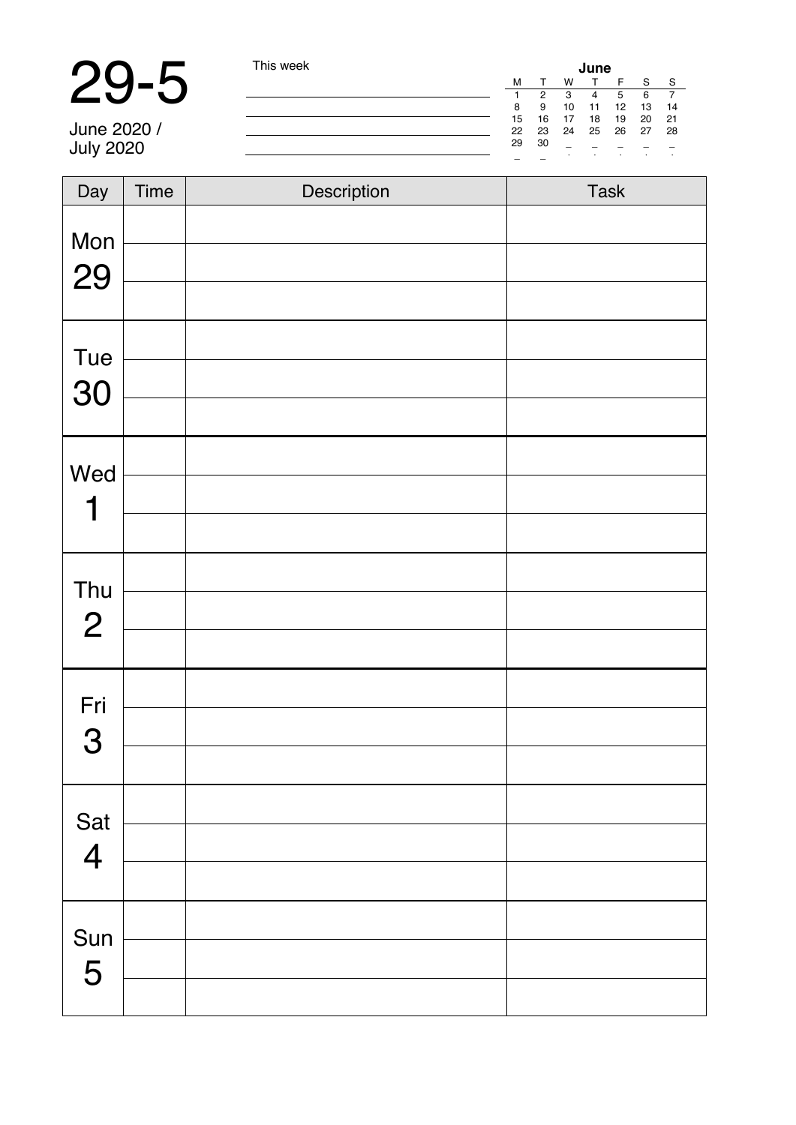# 29-5 This week

June 2020 / July 2020

| June |    |    |    |    |    |    |  |  |
|------|----|----|----|----|----|----|--|--|
| M    |    | w  |    | F  | Ś  | s  |  |  |
| 1    | 2  | з  |    | 5  | 6  |    |  |  |
| 8    | g  | 10 | 11 | 12 | 13 | 14 |  |  |
| 15   | 16 | 17 | 18 | 19 | 20 | 21 |  |  |
| 22   | 23 | 24 | 25 | 26 | 27 | 28 |  |  |
| 29   | 30 | -  |    |    |    |    |  |  |
|      |    | ٠  | ٠  | ٠  | ٠  | ٠  |  |  |

| Day                     | Time | Description | Task |
|-------------------------|------|-------------|------|
| Mon<br>29               |      |             |      |
|                         |      |             |      |
| Tue                     |      |             |      |
| 30                      |      |             |      |
|                         |      |             |      |
| Wed                     |      |             |      |
| 1                       |      |             |      |
|                         |      |             |      |
| Thu                     |      |             |      |
| $\mathbf{2}$            |      |             |      |
|                         |      |             |      |
| Fri                     |      |             |      |
| 3                       |      |             |      |
|                         |      |             |      |
| Sat                     |      |             |      |
| $\overline{\mathbf{4}}$ |      |             |      |
|                         |      |             |      |
|                         |      |             |      |
| Sun<br>5                |      |             |      |
|                         |      |             |      |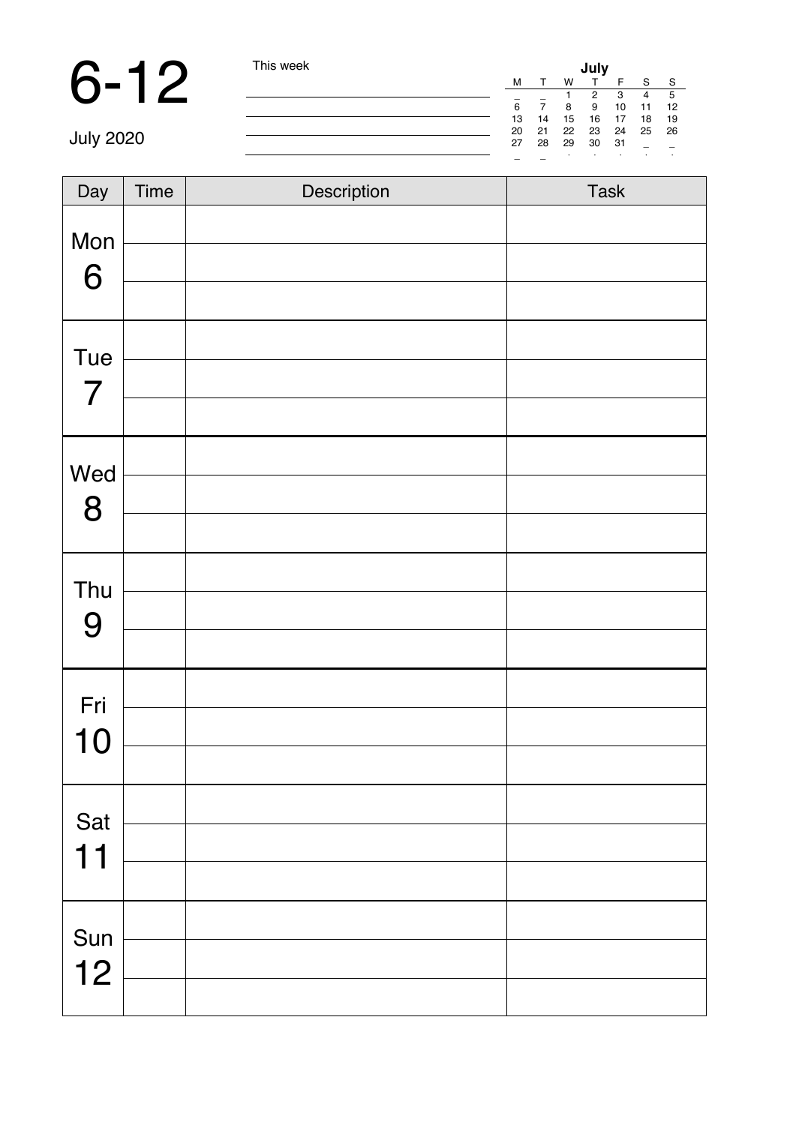### 6-12

| This week |        |        |    | July |    |        |        |
|-----------|--------|--------|----|------|----|--------|--------|
|           | м      |        | w  |      |    | s      | s      |
|           | $\sim$ | $\sim$ |    | 2    | з  |        | 5      |
|           | 6      |        | 8  | 9    | 10 | 11     | 12     |
|           | 13     | 14     | 15 | 16   | 17 | 18     | 19     |
|           | 20     | 21     | 22 | 23   | 24 | 25     | 26     |
|           | 27     | 28     | 29 | 30   | 31 | $\sim$ | $\sim$ |
|           | $\sim$ | $\sim$ |    | ٠    | ٠  | ٠      |        |

July 2020

| Day       | Time | Description | Task |
|-----------|------|-------------|------|
| Mon<br>6  |      |             |      |
| Tue<br>7  |      |             |      |
| Wed<br>8  |      |             |      |
| Thu<br>9  |      |             |      |
| Fri<br>10 |      |             |      |
| Sat<br>11 |      |             |      |
| Sun<br>12 |      |             |      |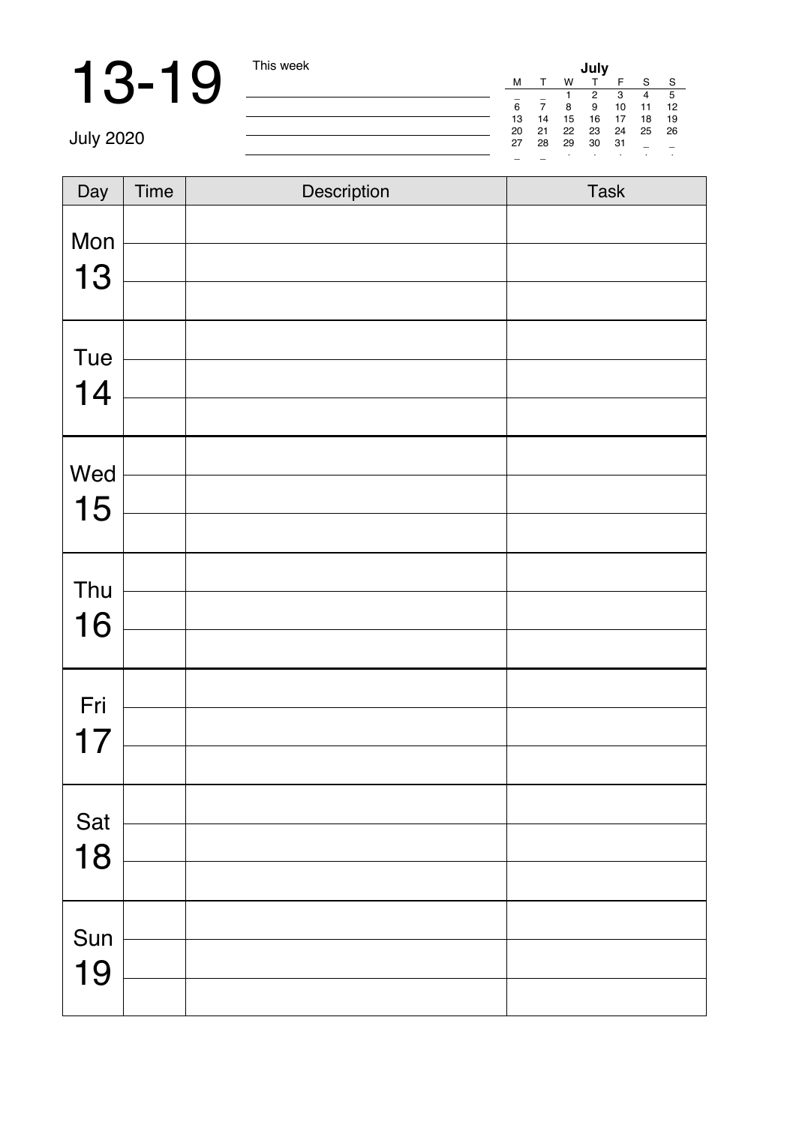**13-19** This week<br>
July 2020<br>
<u>July</u> 2020

July 2020

| Day | Time | Description | Task |
|-----|------|-------------|------|
| Mon |      |             |      |
|     |      |             |      |
| 13  |      |             |      |
| Tue |      |             |      |
| 14  |      |             |      |
|     |      |             |      |
| Wed |      |             |      |
| 15  |      |             |      |
|     |      |             |      |
| Thu |      |             |      |
| 16  |      |             |      |
|     |      |             |      |
| Fri |      |             |      |
| 17  |      |             |      |
|     |      |             |      |
| Sat |      |             |      |
| 18  |      |             |      |
|     |      |             |      |
| Sun |      |             |      |
| 19  |      |             |      |
|     |      |             |      |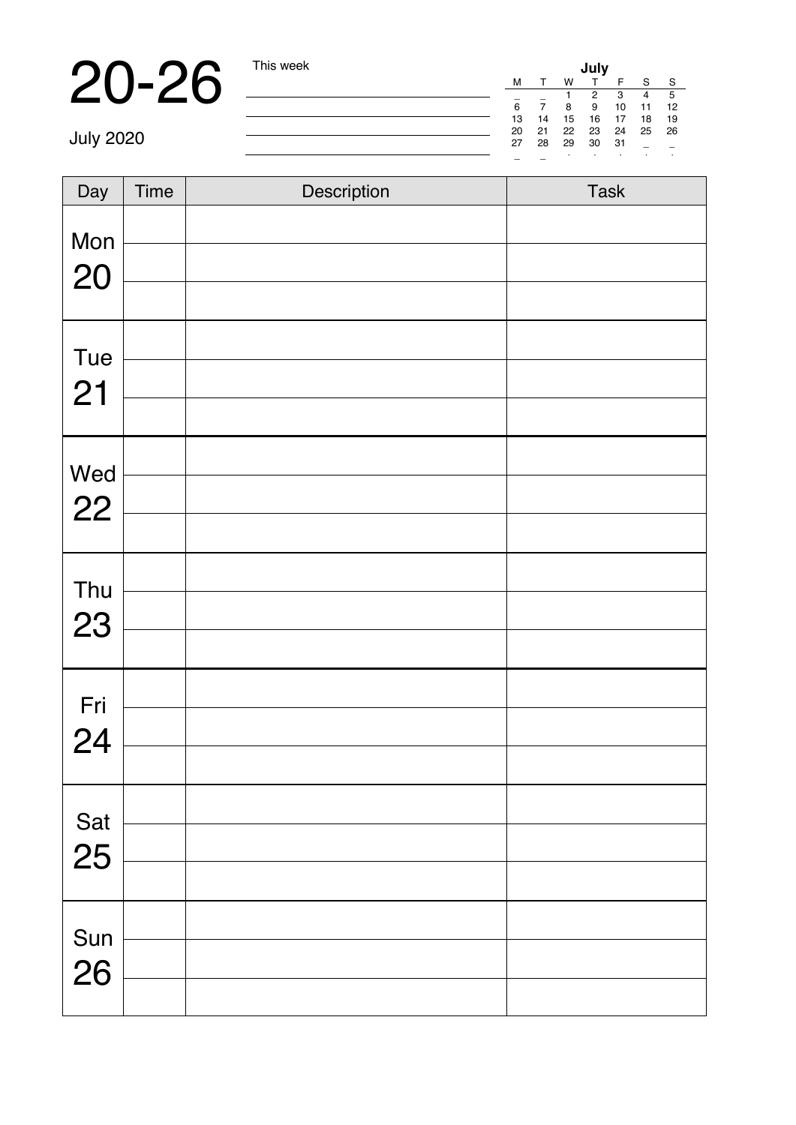20-26 This week **July** <sup>M</sup> <sup>T</sup> <sup>W</sup> <sup>T</sup> <sup>F</sup> <sup>S</sup> <sup>S</sup> \_ \_ 1 2 3 4 5 6 7 8 9 10 11 12 13 14 15 16 17 18 19 20 21 22 23 24 25 26 27 28 29 30 31 \_ \_ \_ \_ · · · · ·

July 2020

| Day       | Time | Description | Task |
|-----------|------|-------------|------|
|           |      |             |      |
| Mon<br>20 |      |             |      |
|           |      |             |      |
| Tue       |      |             |      |
| 21        |      |             |      |
|           |      |             |      |
| Wed       |      |             |      |
| 22        |      |             |      |
|           |      |             |      |
| Thu       |      |             |      |
| 23        |      |             |      |
|           |      |             |      |
| Fri       |      |             |      |
| 24        |      |             |      |
|           |      |             |      |
| Sat       |      |             |      |
| 25        |      |             |      |
|           |      |             |      |
| Sun       |      |             |      |
| 26        |      |             |      |
|           |      |             |      |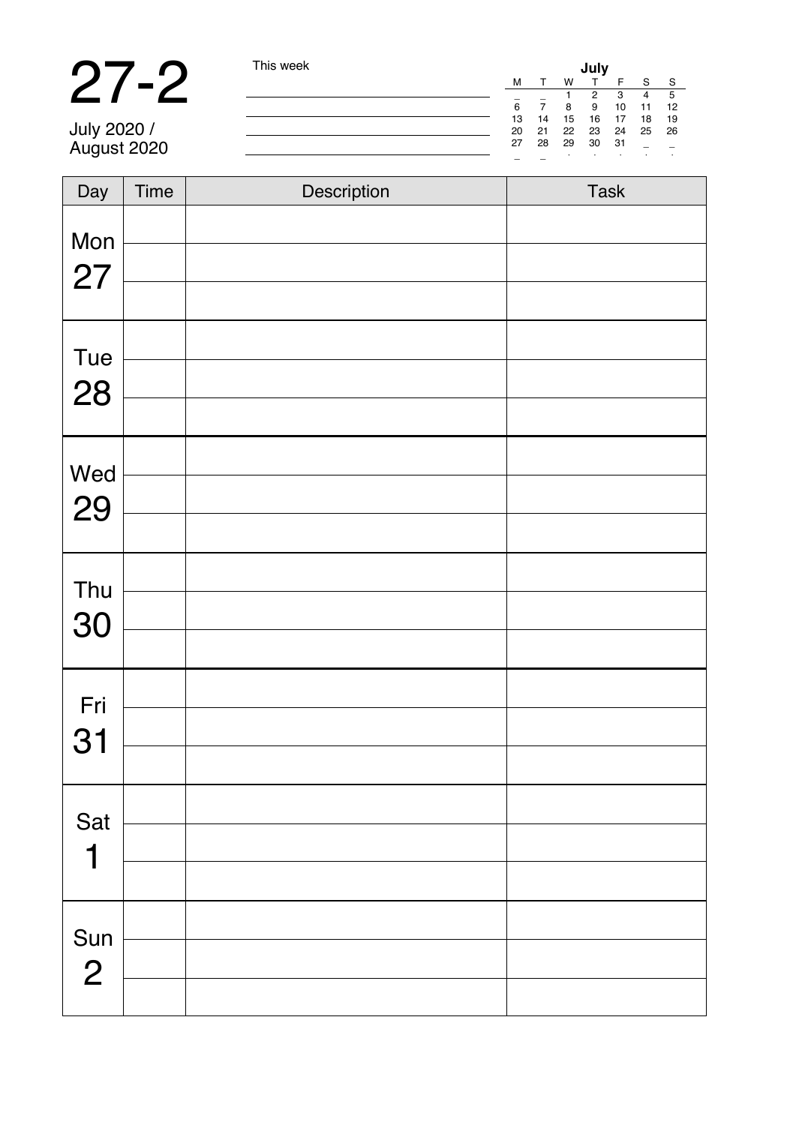# 27-2 This week

July 2020 / August 2020

|    |    |    | July |    |    |    |
|----|----|----|------|----|----|----|
| M  |    | w  |      | F  | s  | s  |
|    |    | 1  | 2    | 3  | 4  | 5  |
| 6  |    | 8  | 9    | 10 | 11 | 12 |
| 13 | 14 | 15 | 16   | 17 | 18 | 19 |
| 20 | 21 | 22 | 23   | 24 | 25 | 26 |
| 27 | 28 | 29 | 30   | 31 | -  |    |
|    |    | ٠  | i.   | í, | í, | t  |
|    |    |    |      |    |    |    |

| Day            | Time | Description | Task |
|----------------|------|-------------|------|
| Mon            |      |             |      |
| 27             |      |             |      |
|                |      |             |      |
| Tue            |      |             |      |
| 28             |      |             |      |
|                |      |             |      |
| Wed            |      |             |      |
| 29             |      |             |      |
|                |      |             |      |
| Thu            |      |             |      |
| 30             |      |             |      |
|                |      |             |      |
| Fri            |      |             |      |
| 31             |      |             |      |
|                |      |             |      |
| Sat            |      |             |      |
| 1              |      |             |      |
|                |      |             |      |
| Sun            |      |             |      |
| $\overline{2}$ |      |             |      |
|                |      |             |      |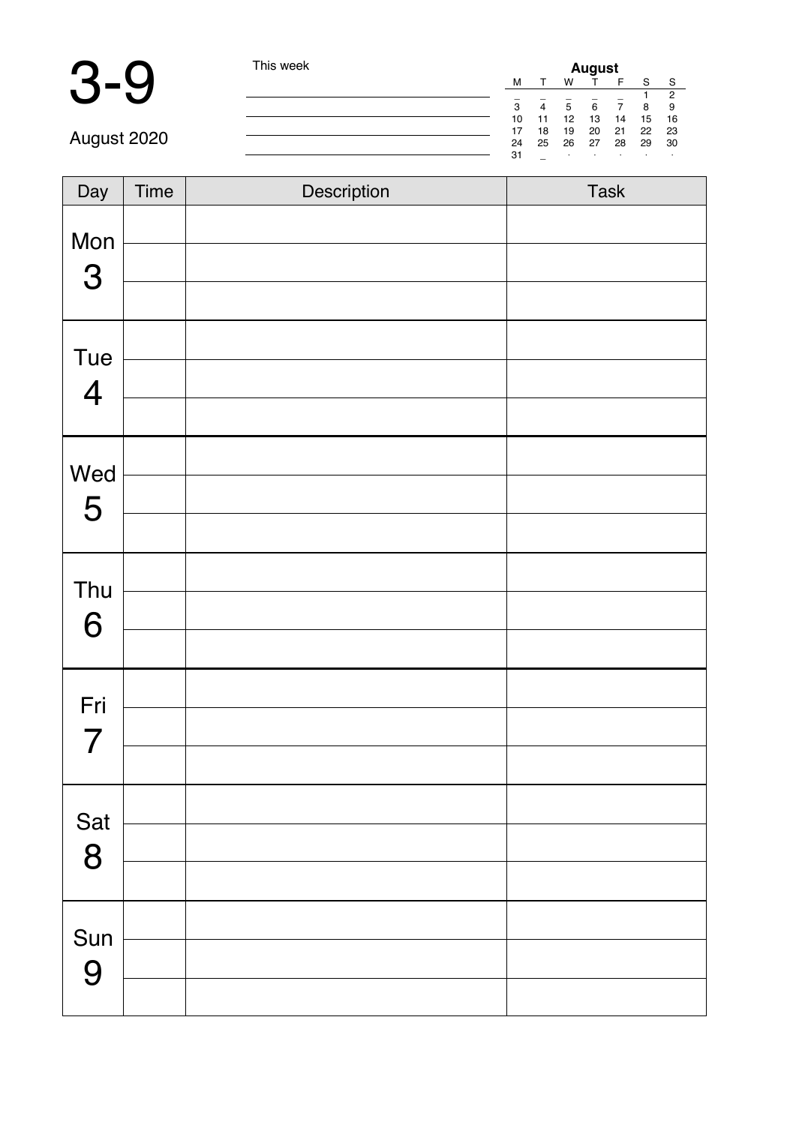### 3-9 This week

| August |    |    |    |    |    |    |  |
|--------|----|----|----|----|----|----|--|
| м      |    | w  |    | F  | s  | s  |  |
|        |    |    |    |    |    | 2  |  |
| 3      | 4  | 5  | 6  |    | 8  | 9  |  |
| 10     | 11 | 12 | 13 | 14 | 15 | 16 |  |
| 17     | 18 | 19 | 20 | 21 | 22 | 23 |  |
| 24     | 25 | 26 | 27 | 28 | 29 | 30 |  |
| 31     |    | ٠  | ٠  | ×. |    | ٠  |  |

August 2020

| Day                            | Time | Description | Task |
|--------------------------------|------|-------------|------|
| Mon<br>3                       |      |             |      |
| Tue<br>$\overline{\mathbf{4}}$ |      |             |      |
| Wed<br>5                       |      |             |      |
| Thu<br>6                       |      |             |      |
| Fri<br>$\overline{7}$          |      |             |      |
| Sat<br>8                       |      |             |      |
| Sun<br>9                       |      |             |      |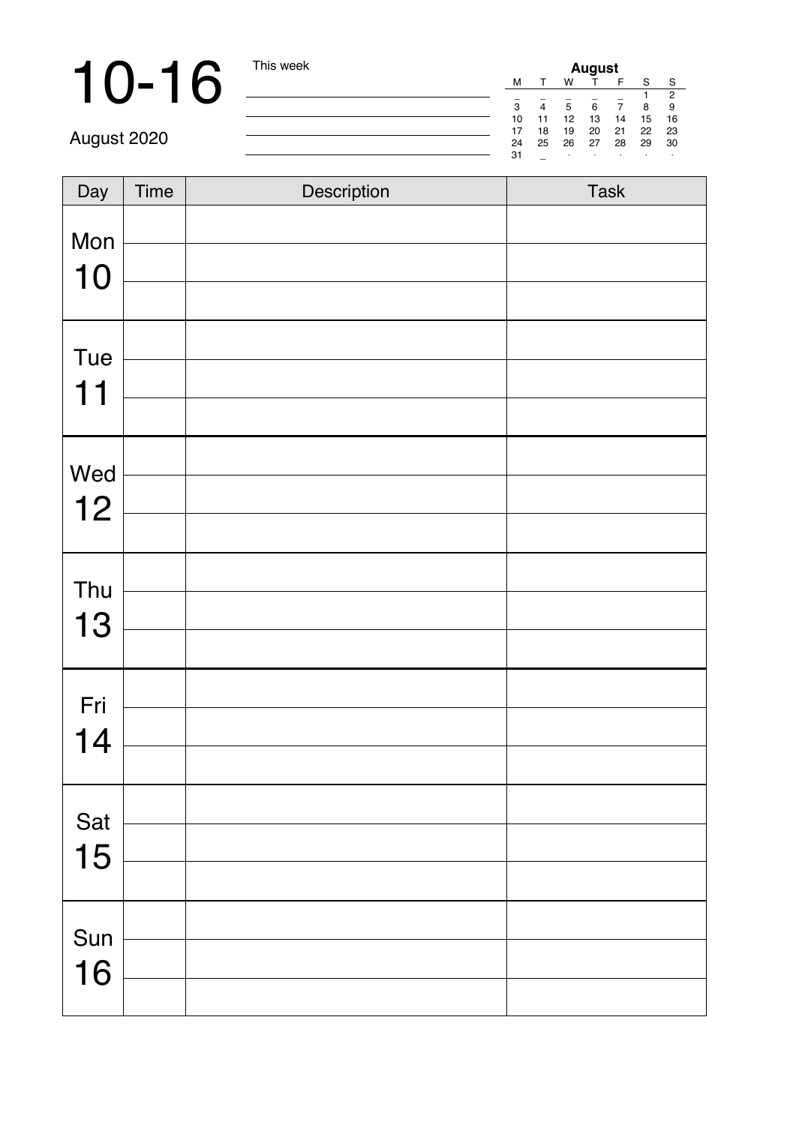# 10-16 This week

| August |    |    |    |    |    |                |  |
|--------|----|----|----|----|----|----------------|--|
| м      |    | w  |    | F  | S  | s              |  |
|        |    |    |    |    |    | $\overline{c}$ |  |
| 3      |    | 5  | 6  |    | 8  | g              |  |
| 10     | 11 | 12 | 13 | 14 | 15 | 16             |  |
| 17     | 18 | 19 | 20 | 21 | 22 | 23             |  |
| 24     | 25 | 26 | 27 | 28 | 29 | 30             |  |
| 31     |    | i. | ٠  | ×. | i. | ٠              |  |

August 2020

| $\overline{Day}$ | Time | Description | Task |
|------------------|------|-------------|------|
| Mon              |      |             |      |
| 10               |      |             |      |
|                  |      |             |      |
| Tue              |      |             |      |
| 11               |      |             |      |
|                  |      |             |      |
| Wed              |      |             |      |
| 12               |      |             |      |
|                  |      |             |      |
| Thu              |      |             |      |
| 13               |      |             |      |
|                  |      |             |      |
| Fri              |      |             |      |
| 14               |      |             |      |
|                  |      |             |      |
| Sat              |      |             |      |
| 15               |      |             |      |
|                  |      |             |      |
| Sun              |      |             |      |
| 16               |      |             |      |
|                  |      |             |      |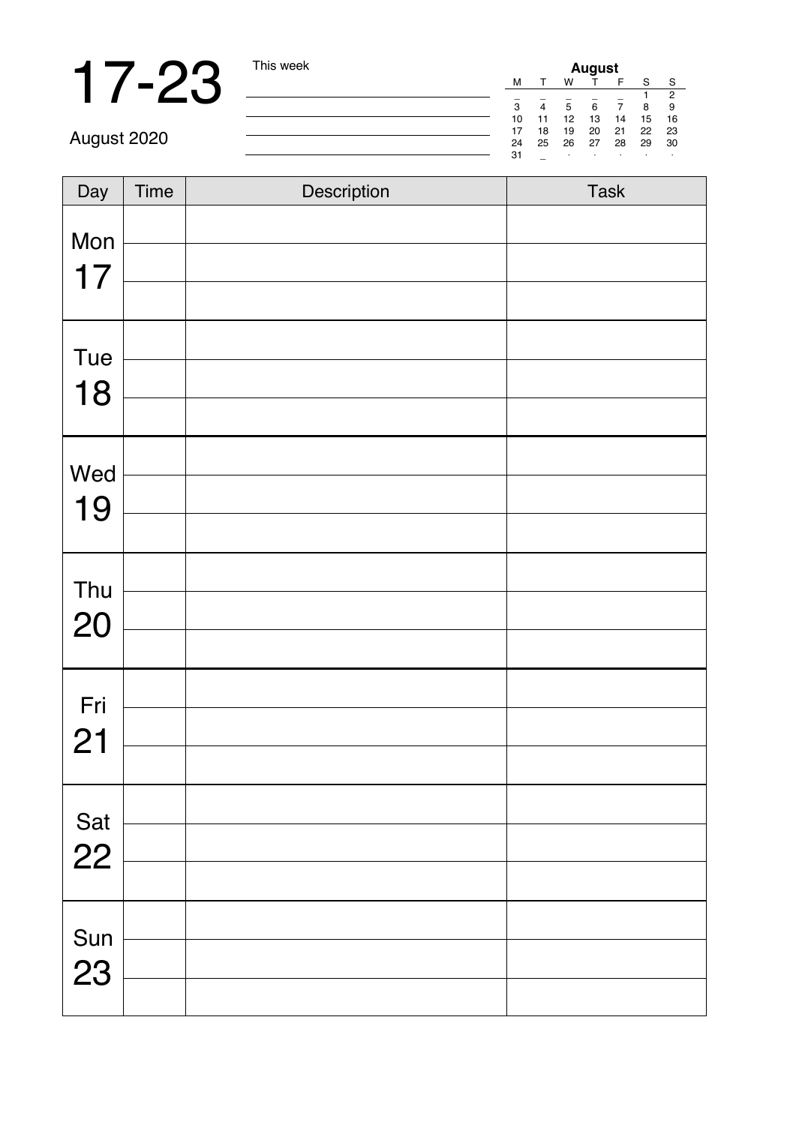# 17-23  $\frac{m_{\text{new}}}{\frac{1}{2} m_{\text{new}} \cdot m_{\text{new}}}$

| August |    |    |    |    |    |                |  |
|--------|----|----|----|----|----|----------------|--|
| M      |    | w  |    | F  | S  | Ś              |  |
| ۰      |    |    |    |    |    | $\overline{c}$ |  |
| 3      | 4  | 5  | 6  |    | 8  | 9              |  |
| 10     | 11 | 12 | 13 | 14 | 15 | 16             |  |
| 17     | 18 | 19 | 20 | 21 | 22 | 23             |  |
| 24     | 25 | 26 | 27 | 28 | 29 | 30             |  |
| 31     | -  | i. | ٠  | i. | i. | ٠              |  |

August 2020

| Day       | Time | Description | Task |
|-----------|------|-------------|------|
| Mon       |      |             |      |
| 17        |      |             |      |
|           |      |             |      |
| Tue       |      |             |      |
| 18        |      |             |      |
|           |      |             |      |
| Wed       |      |             |      |
| 19        |      |             |      |
|           |      |             |      |
| Thu       |      |             |      |
| 20        |      |             |      |
|           |      |             |      |
| Fri       |      |             |      |
| 21        |      |             |      |
|           |      |             |      |
| Sat       |      |             |      |
| 22        |      |             |      |
|           |      |             |      |
|           |      |             |      |
| Sun<br>23 |      |             |      |
|           |      |             |      |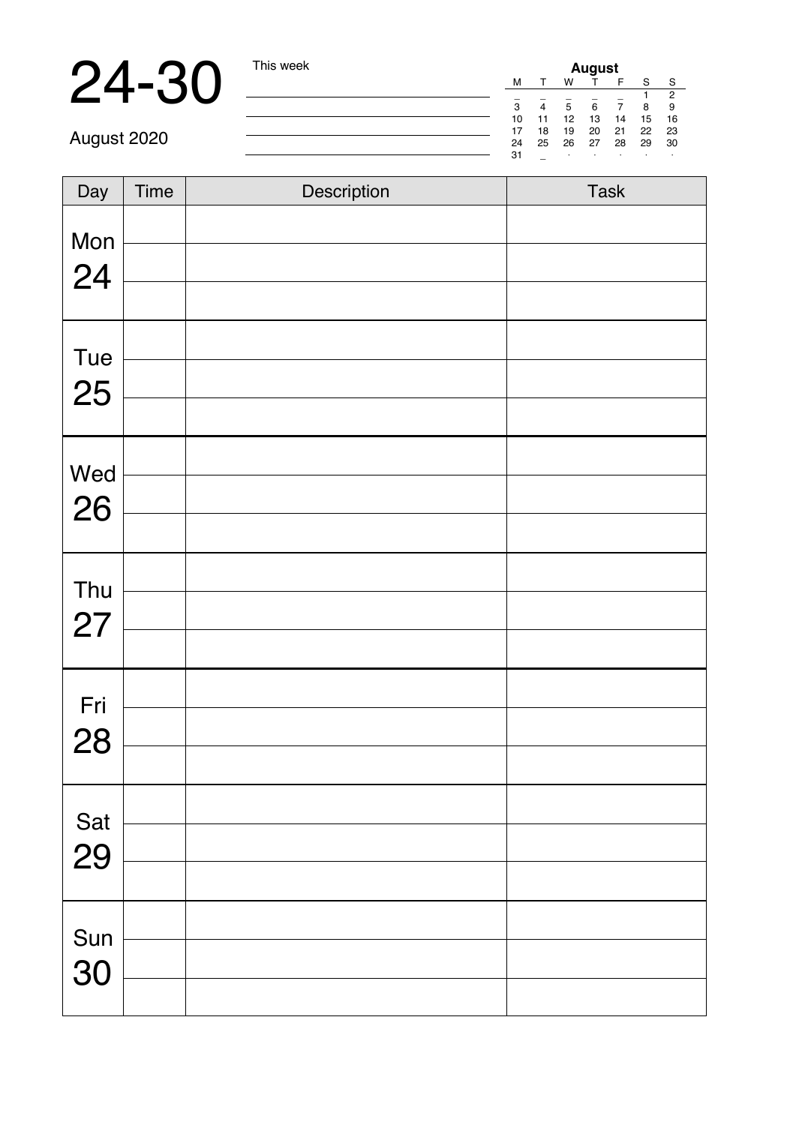# 24-30 This week

|   | August |    |    |    |    |    |                |
|---|--------|----|----|----|----|----|----------------|
|   | M      |    | w  |    | F  | s  | s              |
|   |        |    |    |    |    |    | $\overline{c}$ |
|   | 3      | 4  | 5  | 6  | 7  | 8  | g              |
| j | 10     | 11 | 12 | 13 | 14 | 15 | 16             |
|   | 17     | 18 | 19 | 20 | 21 | 22 | 23             |
|   | 24     | 25 | 26 | 27 | 28 | 29 | 30             |
|   | 31     |    | i. | ٠  | i. |    | ٠              |

August 2020

| Day | Time | Description | Task |
|-----|------|-------------|------|
| Mon |      |             |      |
| 24  |      |             |      |
|     |      |             |      |
| Tue |      |             |      |
| 25  |      |             |      |
|     |      |             |      |
| Wed |      |             |      |
| 26  |      |             |      |
|     |      |             |      |
| Thu |      |             |      |
| 27  |      |             |      |
|     |      |             |      |
| Fri |      |             |      |
| 28  |      |             |      |
|     |      |             |      |
| Sat |      |             |      |
| 29  |      |             |      |
|     |      |             |      |
| Sun |      |             |      |
| 30  |      |             |      |
|     |      |             |      |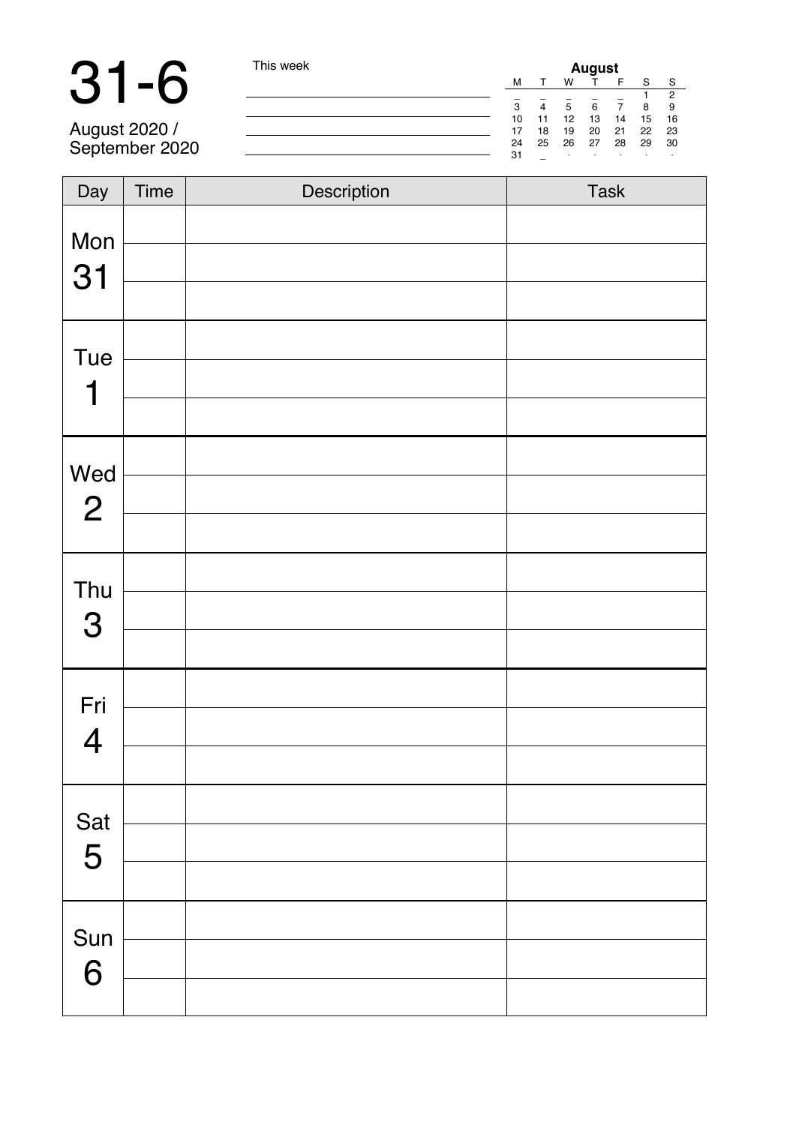# 31-6 This week

|    |    |    | August |    |    |    |
|----|----|----|--------|----|----|----|
| M  |    | w  |        | F  | s  | s  |
|    |    |    |        |    |    | 2  |
| 3  | 4  | 5  | 6      |    | 8  | я  |
| 10 | 11 | 12 | 13     | 14 | 15 | 16 |
| 17 | 18 | 19 | 20     | 21 | 22 | 23 |
| 24 | 25 | 26 | 27     | 28 | 29 | 30 |
| 31 |    | ٠  | ٠      | ×. | i. | ٠  |

August 2020 / September 2020

| Day                   | Time | Description | Task |
|-----------------------|------|-------------|------|
| Mon<br>31             |      |             |      |
| Tue<br>1              |      |             |      |
| Wed<br>$\overline{c}$ |      |             |      |
| Thu<br>3              |      |             |      |
| Fri<br>$\overline{4}$ |      |             |      |
| Sat<br>5              |      |             |      |
| Sun<br>6              |      |             |      |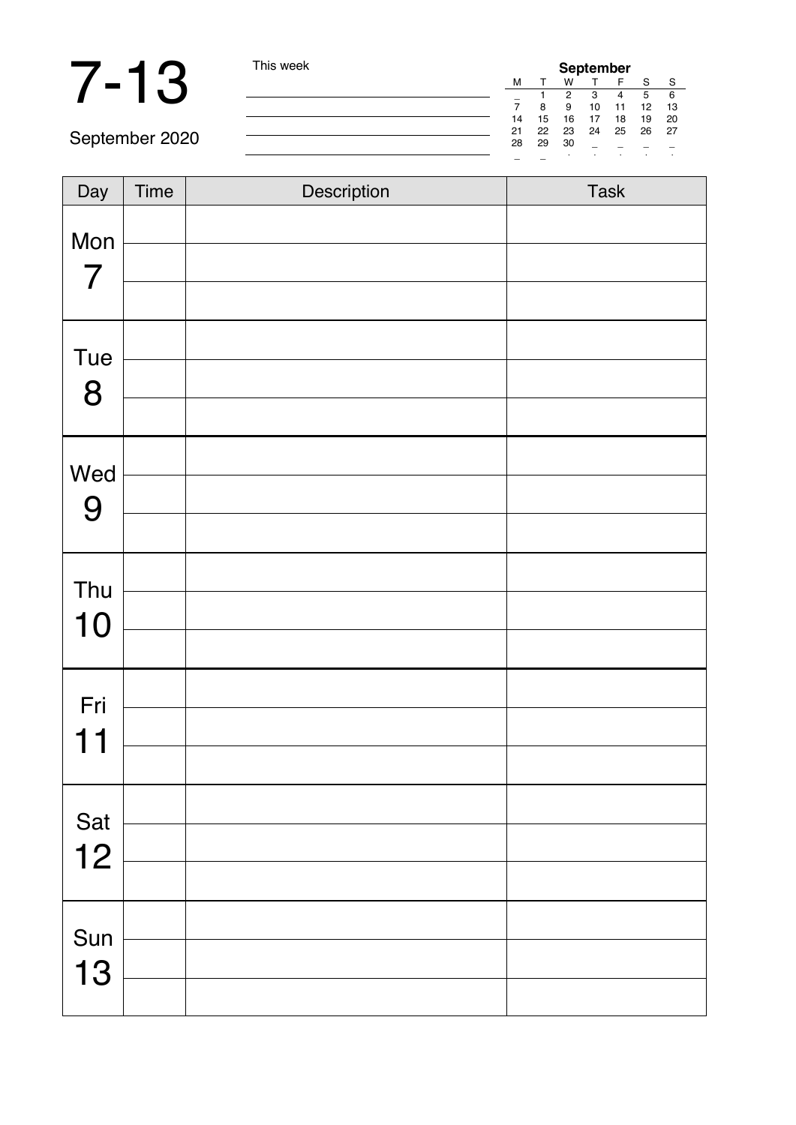# 7-13 This week

| September |    |    |    |    |    |    |
|-----------|----|----|----|----|----|----|
| M         |    | w  |    | F  | s  | s  |
|           |    | 2  | з  | 4  | 5  | 6  |
|           | 8  | я  | 10 | 11 | 12 | 13 |
| 14        | 15 | 16 | 17 | 18 | 19 | 20 |
| 21        | 22 | 23 | 24 | 25 | 26 | 27 |
| 28        | 29 | 30 |    |    |    |    |
|           |    | ٠  | ٠  | i. | i. | ٠  |

September 2020

| Day              | Time | Description | Task |
|------------------|------|-------------|------|
| Mon              |      |             |      |
| $\overline{7}$   |      |             |      |
| Tue              |      |             |      |
| 8                |      |             |      |
|                  |      |             |      |
| Wed              |      |             |      |
| $\boldsymbol{9}$ |      |             |      |
| Thu              |      |             |      |
| 10               |      |             |      |
|                  |      |             |      |
| Fri              |      |             |      |
| 11               |      |             |      |
|                  |      |             |      |
| Sat              |      |             |      |
| 12               |      |             |      |
| Sun              |      |             |      |
| 13               |      |             |      |
|                  |      |             |      |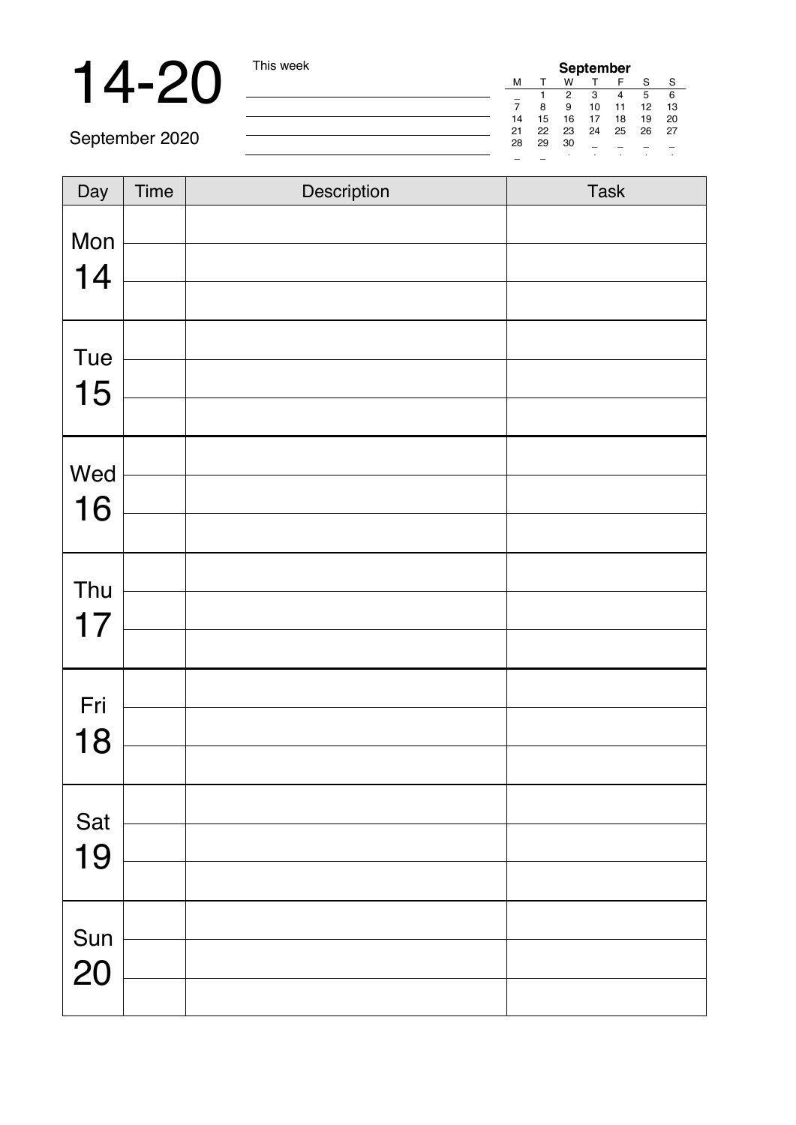# 14-20 This week

| September |    |    |    |    |    |    |  |
|-----------|----|----|----|----|----|----|--|
| м         |    | w  |    | F  | s  | s  |  |
|           |    | 2  | з  |    | 5  | 6  |  |
|           | 8  | g  | 10 | 11 | 12 | 13 |  |
| 14        | 15 | 16 | 17 | 18 | 19 | 20 |  |
| 21        | 22 | 23 | 24 | 25 | 26 | 27 |  |
| 28        | 29 | 30 |    |    |    |    |  |
|           |    | i. |    |    |    | ٠  |  |

September 2020

| Day | Time | Description | Task |
|-----|------|-------------|------|
| Mon |      |             |      |
| 14  |      |             |      |
|     |      |             |      |
| Tue |      |             |      |
| 15  |      |             |      |
|     |      |             |      |
| Wed |      |             |      |
| 16  |      |             |      |
|     |      |             |      |
| Thu |      |             |      |
| 17  |      |             |      |
|     |      |             |      |
| Fri |      |             |      |
| 18  |      |             |      |
|     |      |             |      |
| Sat |      |             |      |
| 19  |      |             |      |
|     |      |             |      |
| Sun |      |             |      |
| 20  |      |             |      |
|     |      |             |      |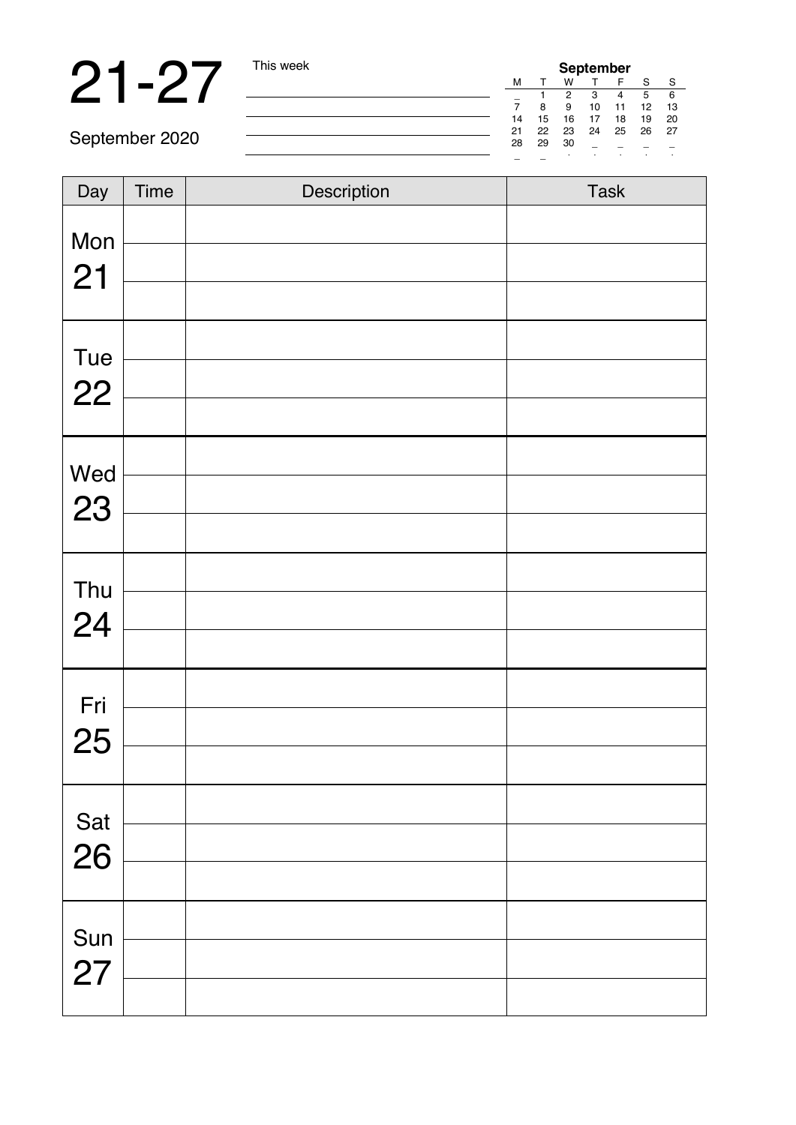**21 -27** This week **September** 2020

September 2020

| Day | Time | Description | Task |
|-----|------|-------------|------|
| Mon |      |             |      |
| 21  |      |             |      |
|     |      |             |      |
| Tue |      |             |      |
| 22  |      |             |      |
|     |      |             |      |
| Wed |      |             |      |
| 23  |      |             |      |
|     |      |             |      |
| Thu |      |             |      |
| 24  |      |             |      |
|     |      |             |      |
| Fri |      |             |      |
| 25  |      |             |      |
|     |      |             |      |
| Sat |      |             |      |
| 26  |      |             |      |
|     |      |             |      |
| Sun |      |             |      |
| 27  |      |             |      |
|     |      |             |      |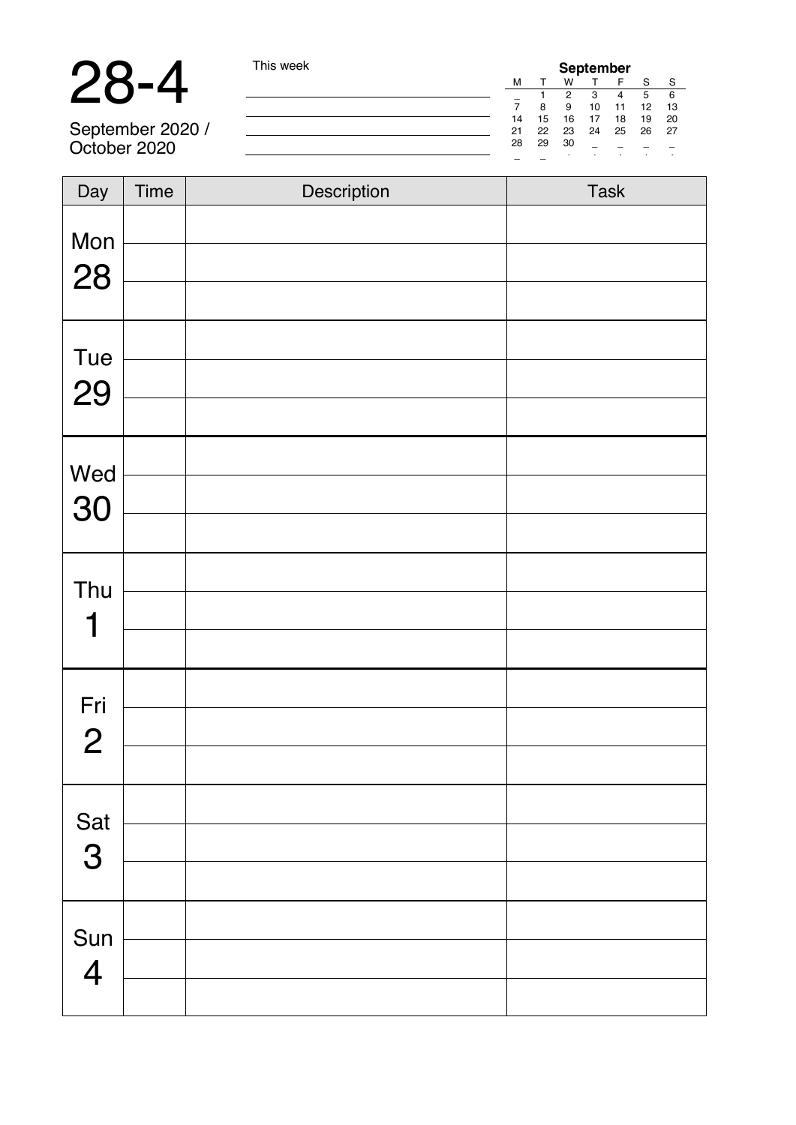# 28-4 This week

September 2020 / October 2020

| September |    |    |    |    |    |    |  |
|-----------|----|----|----|----|----|----|--|
| M         |    | w  |    | F  | s  | s  |  |
|           |    | 2  | з  |    | 5  | 6  |  |
|           | 8  | я  | 10 | 11 | 12 | 13 |  |
| 14        | 15 | 16 | 17 | 18 | 19 | 20 |  |
| 21        | 22 | 23 | 24 | 25 | 26 | 27 |  |
| 28        | 29 | 30 |    |    |    |    |  |
|           |    |    | ٠  | ٠  | i. | í, |  |

| Day            | Time | Description | Task |
|----------------|------|-------------|------|
| Mon            |      |             |      |
| 28             |      |             |      |
| Tue            |      |             |      |
| 29             |      |             |      |
|                |      |             |      |
| Wed            |      |             |      |
| 30             |      |             |      |
|                |      |             |      |
| Thu            |      |             |      |
| 1              |      |             |      |
|                |      |             |      |
| Fri            |      |             |      |
| $\overline{2}$ |      |             |      |
|                |      |             |      |
| Sat            |      |             |      |
| 3              |      |             |      |
|                |      |             |      |
| Sun            |      |             |      |
| 4              |      |             |      |
|                |      |             |      |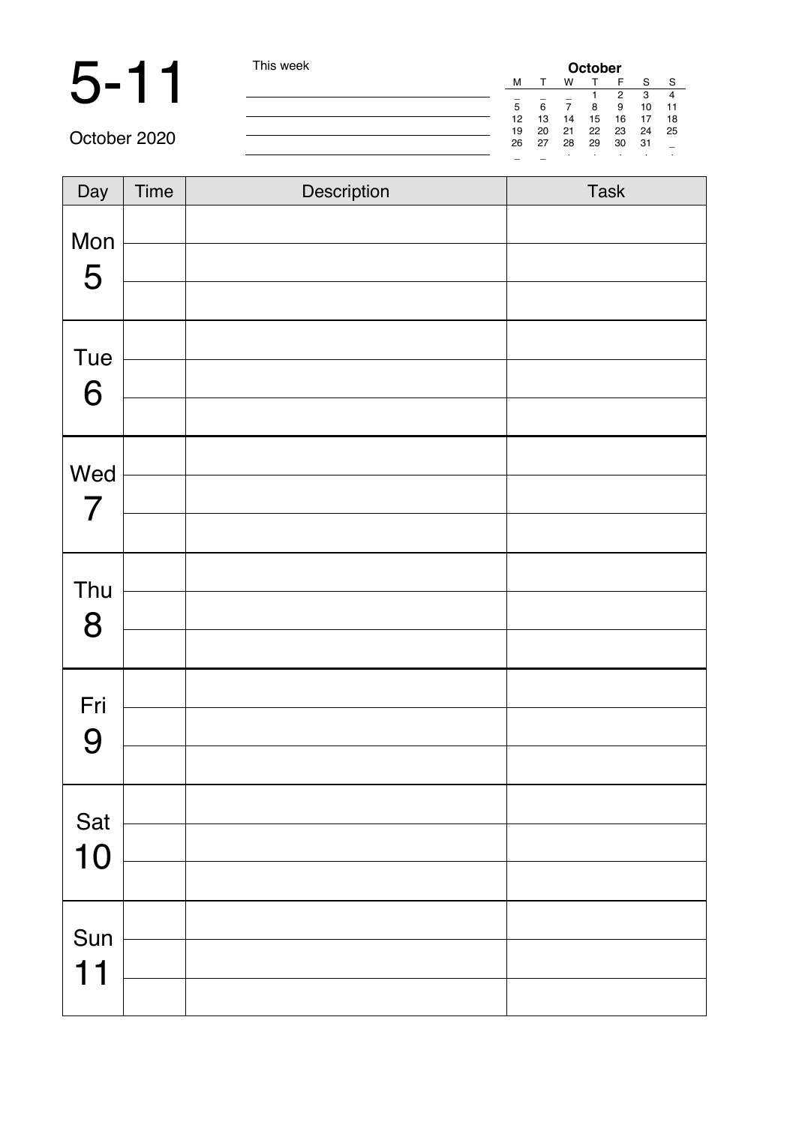### 5 - 11 This week

|   | October |    |    |    |    |    |    |  |
|---|---------|----|----|----|----|----|----|--|
|   | м       |    | w  |    | F  | s  | s  |  |
|   |         |    |    |    | 2  | з  |    |  |
|   | 5       | 6  |    | 8  | g  | 10 | 11 |  |
|   | 12      | 13 | 14 | 15 | 16 | 17 | 18 |  |
| L | 19      | 20 | 21 | 22 | 23 | 24 | 25 |  |
|   | 26      | 27 | 28 | 29 | 30 | 31 |    |  |
|   |         |    | ٠  | ٠  | ٠  | i. | ٠  |  |

October 2020

| Day                   | Time | Description | Task |
|-----------------------|------|-------------|------|
| Mon<br>5              |      |             |      |
| Tue<br>6              |      |             |      |
| Wed<br>$\overline{7}$ |      |             |      |
| Thu<br>8              |      |             |      |
| Fri<br>9              |      |             |      |
| Sat<br>10             |      |             |      |
| Sun<br>11             |      |             |      |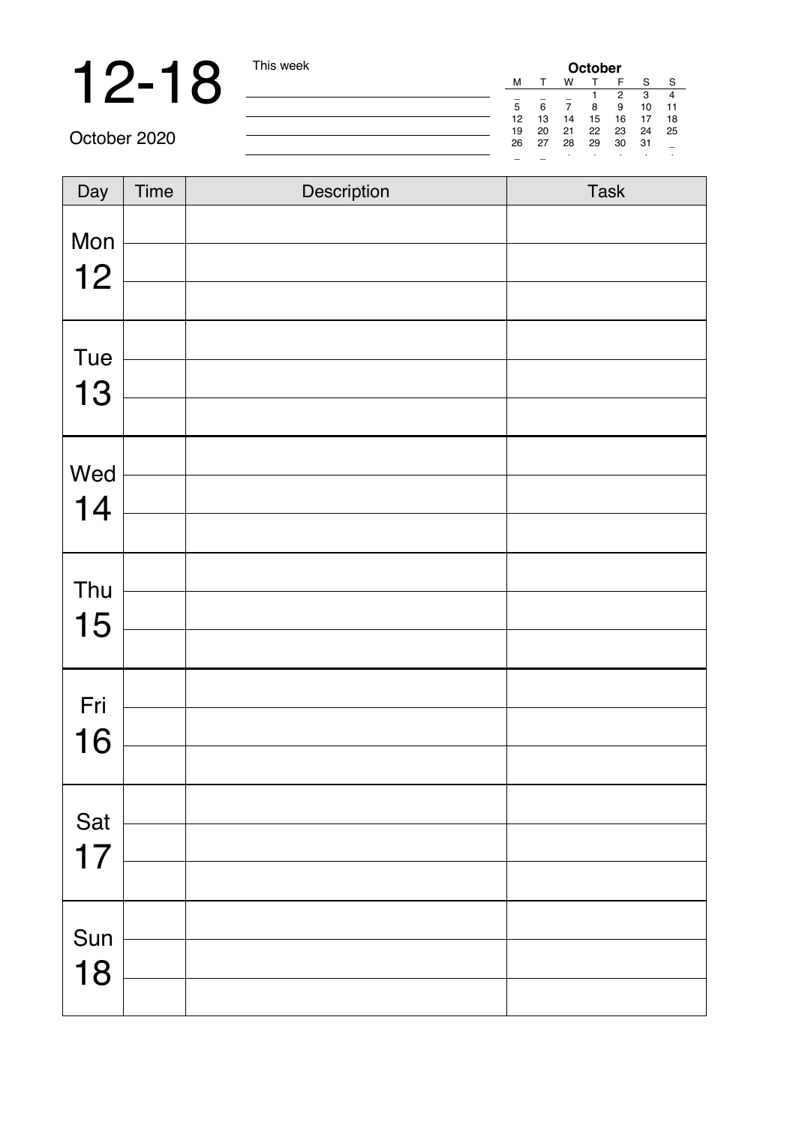# **12-18** This week **October** M T W T H S S S 3 4

\_ \_ \_ 1 2 3 4 5 6 7 8 9 10 11 12 13 14 15 16 17 18 19 20 21 22 23 24 25 26 27 28 29 30 31 \_ \_ \_ · · · · ·

October 2020

| $\overline{Day}$ | Time | Description | Task |
|------------------|------|-------------|------|
| Mon              |      |             |      |
|                  |      |             |      |
| 12               |      |             |      |
| Tue              |      |             |      |
| 13               |      |             |      |
|                  |      |             |      |
| Wed              |      |             |      |
| 14               |      |             |      |
|                  |      |             |      |
| Thu              |      |             |      |
| 15               |      |             |      |
|                  |      |             |      |
| Fri              |      |             |      |
| 16               |      |             |      |
|                  |      |             |      |
| Sat              |      |             |      |
| 17               |      |             |      |
|                  |      |             |      |
| Sun              |      |             |      |
| 18               |      |             |      |
|                  |      |             |      |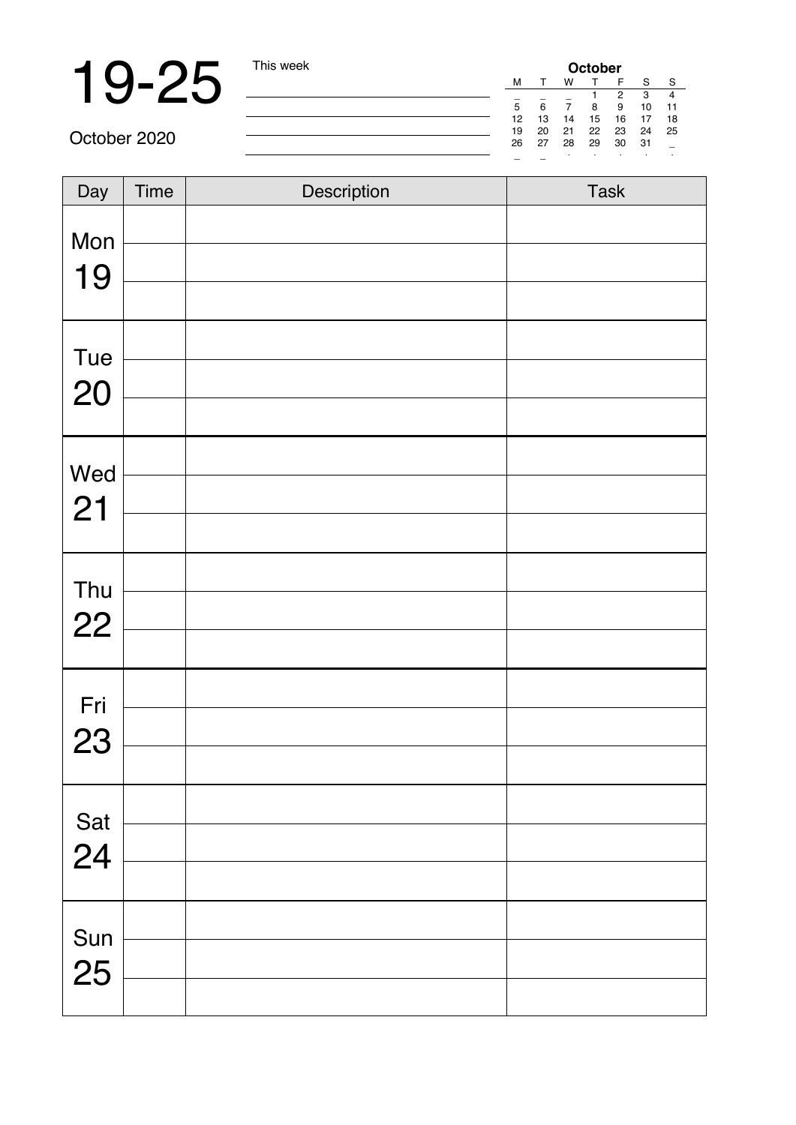### 19-25 This week **October** Manual Manual Point Manual Property of The Second Manual Property of The Second Manual Property of The Second Manual Property of The Second Manual Property of The Second Manual Property of The Sec

\_ \_ \_ 1 2 3 4 5 6 7 8 9 10 11 12 13 14 15 16 17 18 19 20 21 22 23 24 25 26 27 28 29 30 31 \_ \_ \_ · · · · ·

October 2020

| Day       | Time | Description | Task |
|-----------|------|-------------|------|
| Mon       |      |             |      |
| 19        |      |             |      |
|           |      |             |      |
| Tue<br>20 |      |             |      |
|           |      |             |      |
| Wed       |      |             |      |
| 21        |      |             |      |
|           |      |             |      |
| Thu       |      |             |      |
| 22        |      |             |      |
|           |      |             |      |
| Fri       |      |             |      |
| 23        |      |             |      |
|           |      |             |      |
| Sat       |      |             |      |
| 24        |      |             |      |
|           |      |             |      |
| Sun       |      |             |      |
| 25        |      |             |      |
|           |      |             |      |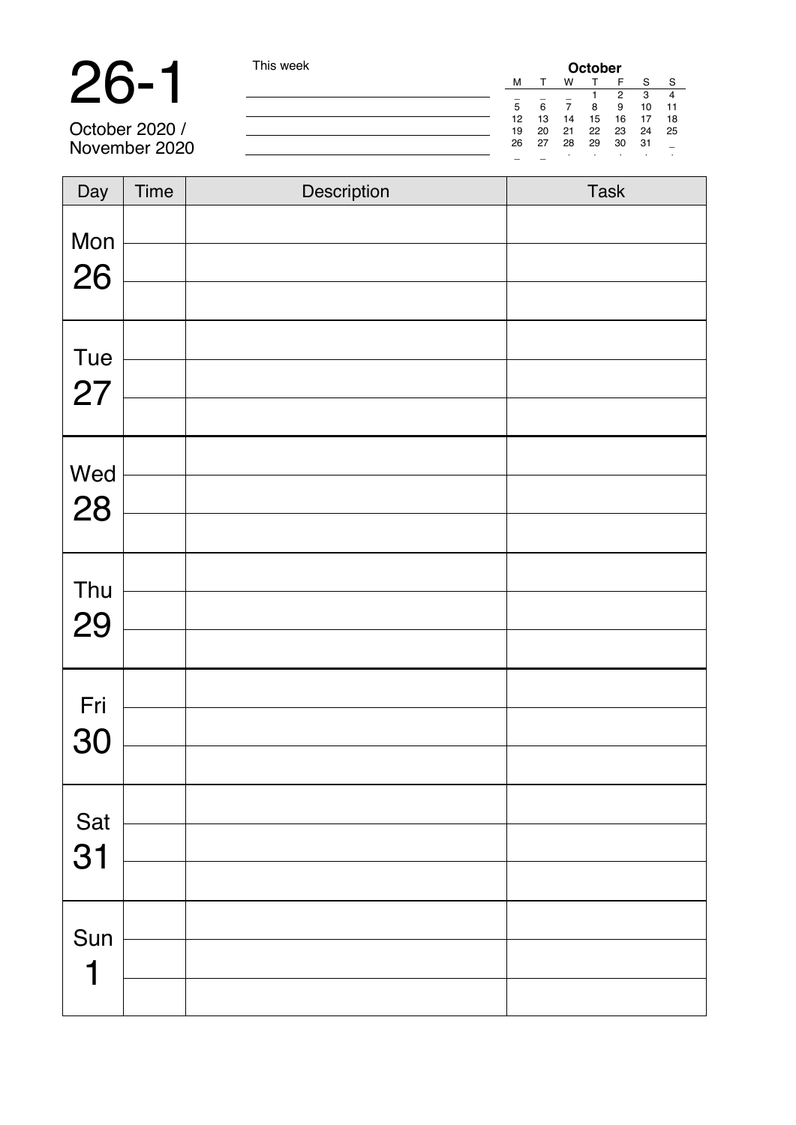**26-1** This week **October** 2020 /<br>
October 2020 / **Contact 2020** / **Contact 2020** / **Contact 2020** / **Contact 2020** / **Contact 2020** / **Contact 2020** *Contact 2020 Contact 2020 Contact 2020 Contact 2020* 28 24 25 26

October 2020 / November 2020

| Day       | Time | Description | Task |
|-----------|------|-------------|------|
| Mon<br>26 |      |             |      |
| Tue<br>27 |      |             |      |
| Wed<br>28 |      |             |      |
| Thu<br>29 |      |             |      |
| Fri<br>30 |      |             |      |
| Sat<br>31 |      |             |      |
| Sun<br>1  |      |             |      |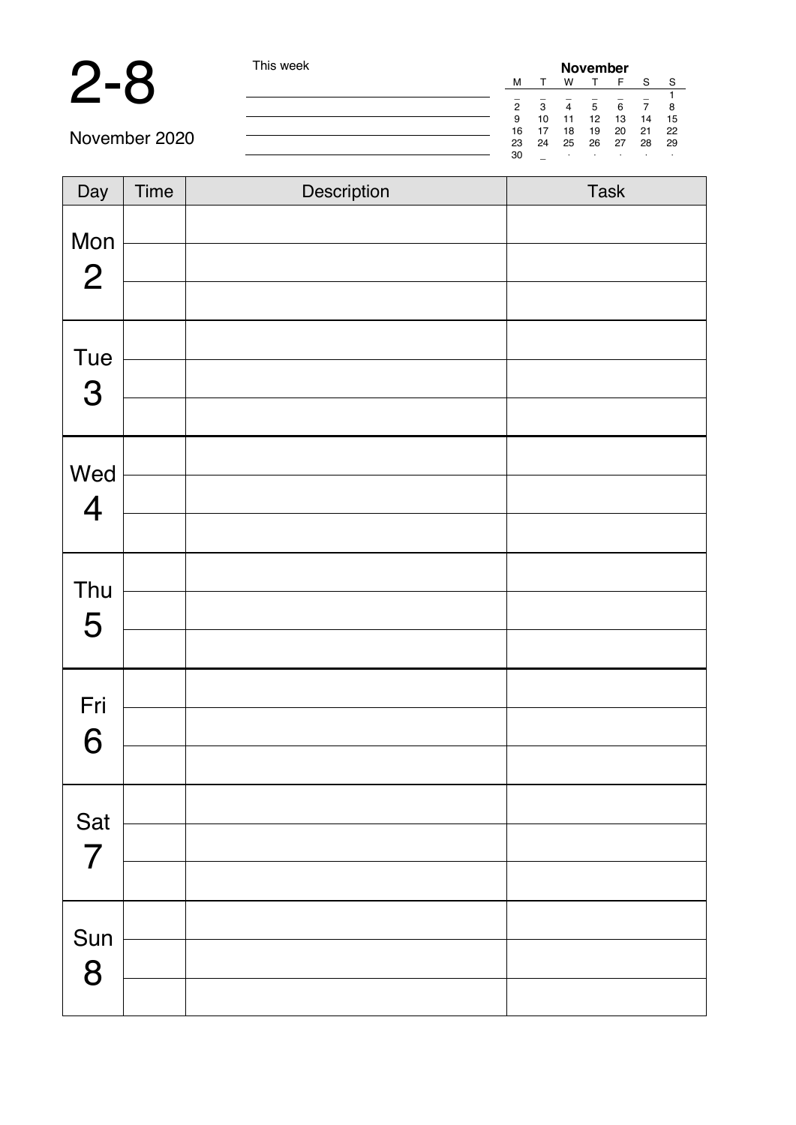

| This week |
|-----------|
|           |

| November |    |    |    |    |    |    |  |
|----------|----|----|----|----|----|----|--|
| M        |    | w  |    | F  | s  | s  |  |
|          |    |    |    |    |    |    |  |
| 2        | 3  | 4  | 5  | 6  |    | 8  |  |
| 9        | 10 | 11 | 12 | 13 | 14 | 15 |  |
| 16       | 17 | 18 | 19 | 20 | 21 | 22 |  |
| 23       | 24 | 25 | 26 | 27 | 28 | 29 |  |
| 30       |    | ٠  | ٠  | i. | ٠  |    |  |

November 2020

| Day                     | Time | Description | Task |
|-------------------------|------|-------------|------|
| Mon                     |      |             |      |
| $\mathbf{2}$            |      |             |      |
|                         |      |             |      |
| Tue<br>$\mathbf{3}$     |      |             |      |
|                         |      |             |      |
| Wed                     |      |             |      |
| $\overline{\mathbf{4}}$ |      |             |      |
|                         |      |             |      |
| Thu                     |      |             |      |
| 5                       |      |             |      |
|                         |      |             |      |
| Fri                     |      |             |      |
| 6                       |      |             |      |
|                         |      |             |      |
| Sat                     |      |             |      |
| $\overline{7}$          |      |             |      |
|                         |      |             |      |
| Sun                     |      |             |      |
| 8                       |      |             |      |
|                         |      |             |      |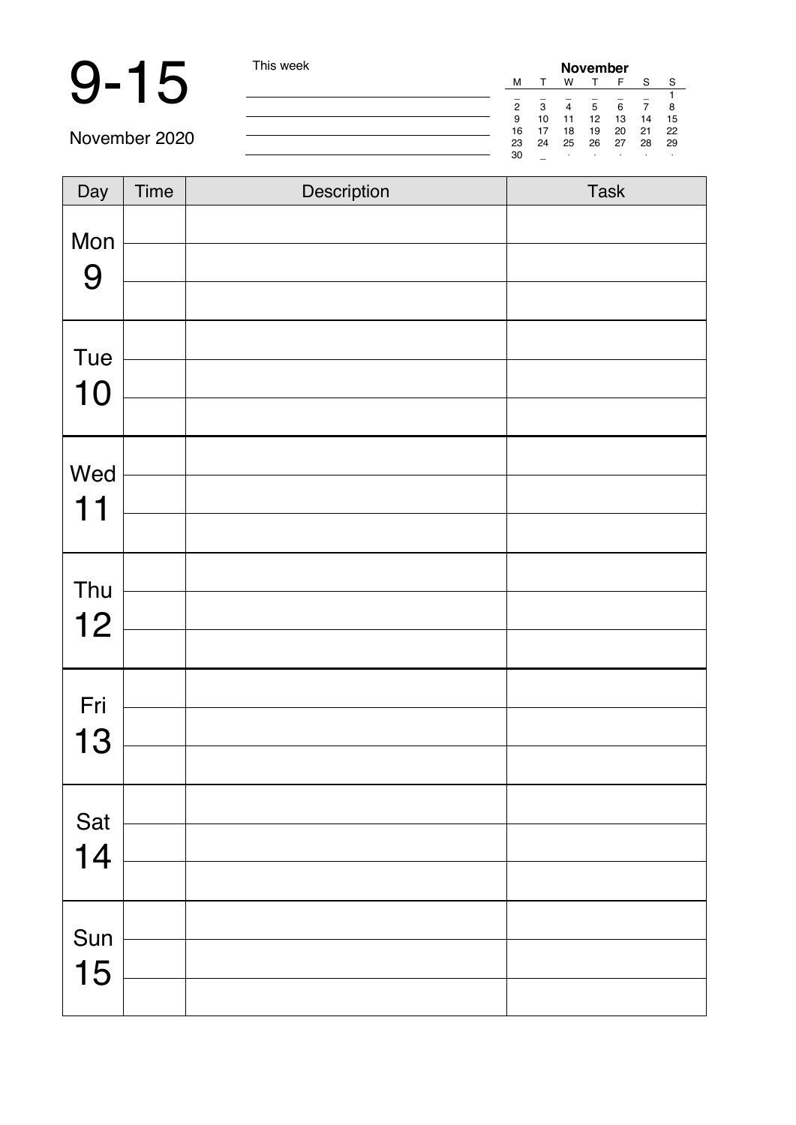# 9-15 This week

| November       |    |    |    |    |    |    |
|----------------|----|----|----|----|----|----|
| M              |    | w  |    | F  | s  | s  |
|                |    |    |    |    |    |    |
| $\overline{a}$ | 3  |    | 5  | 6  |    | 8  |
| 9              | 10 | 11 | 12 | 13 | 14 | 15 |
| 16             | 17 | 18 | 19 | 20 | 21 | 22 |
| 23             | 24 | 25 | 26 | 27 | 28 | 29 |
| 30             |    | ٠  |    | i. | ٠  |    |

November 2020

| Day       | Time | Description | Task |
|-----------|------|-------------|------|
| Mon       |      |             |      |
| 9         |      |             |      |
| Tue       |      |             |      |
| 10        |      |             |      |
|           |      |             |      |
| Wed       |      |             |      |
| 11        |      |             |      |
|           |      |             |      |
| Thu<br>12 |      |             |      |
|           |      |             |      |
| Fri       |      |             |      |
| 13        |      |             |      |
|           |      |             |      |
| Sat       |      |             |      |
| 14        |      |             |      |
|           |      |             |      |
| Sun       |      |             |      |
| 15        |      |             |      |
|           |      |             |      |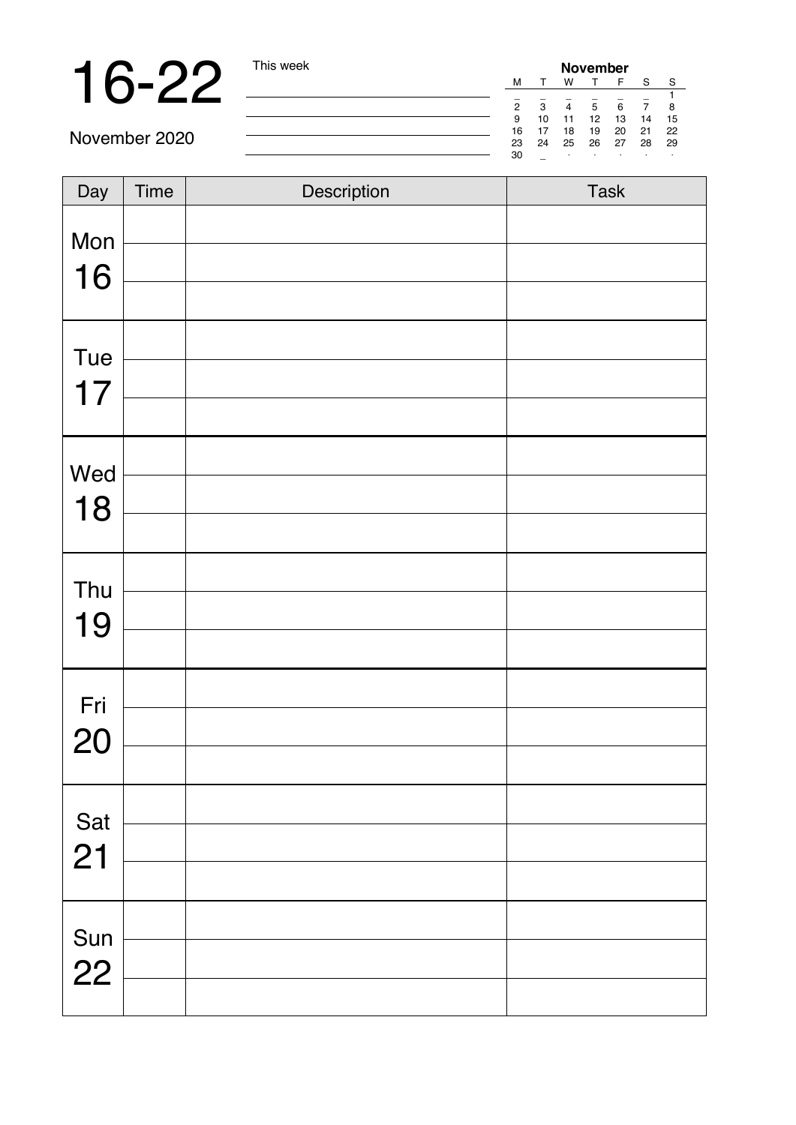# 16-22 <u>This week</u> **November 2014**

|   | November       |    |    |    |    |    |    |
|---|----------------|----|----|----|----|----|----|
|   | м              |    | w  |    | F  | S  | s  |
|   |                |    |    |    |    |    |    |
|   | $\overline{2}$ | 3  |    | 5  | 6  |    | 8  |
|   | 9              | 10 | 11 | 12 | 13 | 14 | 15 |
| - | 16             | 17 | 18 | 19 | 20 | 21 | 22 |
|   | 23             | 24 | 25 | 26 | 27 | 28 | 29 |
|   | 30             |    | i. | ٠  | i. | ٠  | ٠  |

November 2020

| Day | Time | Description | Task |
|-----|------|-------------|------|
| Mon |      |             |      |
| 16  |      |             |      |
|     |      |             |      |
| Tue |      |             |      |
| 17  |      |             |      |
|     |      |             |      |
| Wed |      |             |      |
| 18  |      |             |      |
|     |      |             |      |
| Thu |      |             |      |
| 19  |      |             |      |
|     |      |             |      |
| Fri |      |             |      |
| 20  |      |             |      |
|     |      |             |      |
| Sat |      |             |      |
| 21  |      |             |      |
|     |      |             |      |
| Sun |      |             |      |
| 22  |      |             |      |
|     |      |             |      |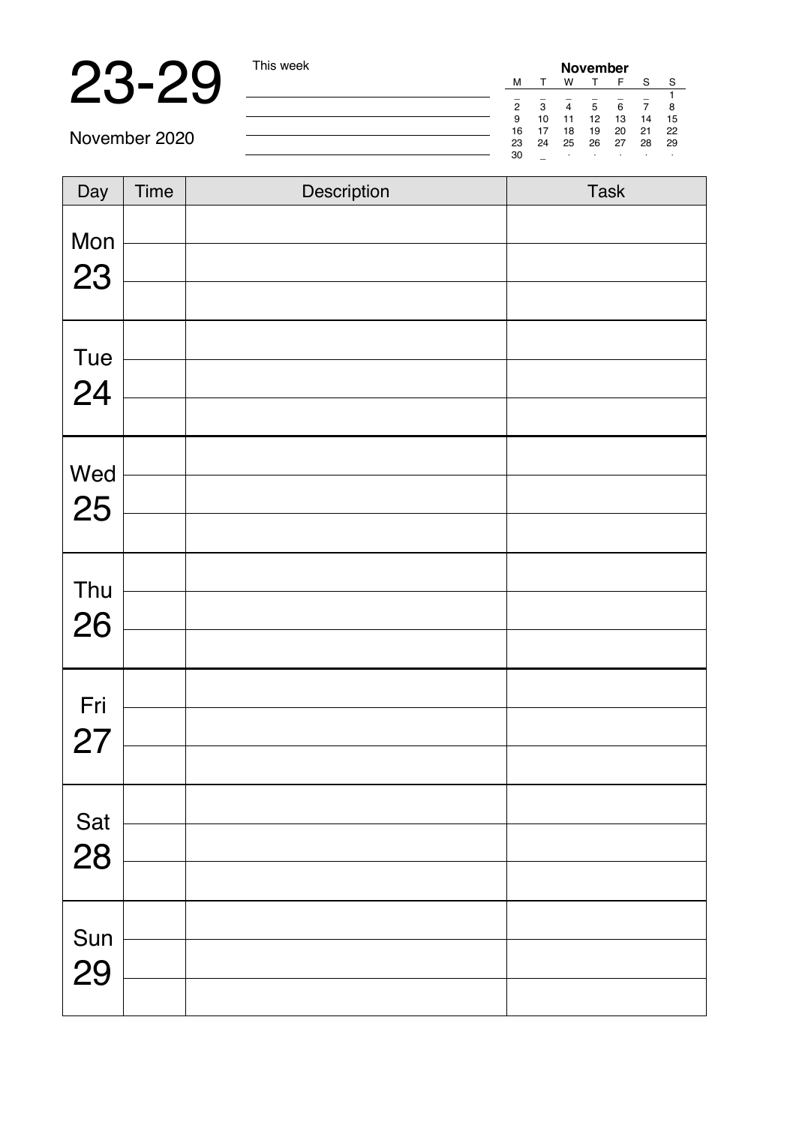# 23-29 **Marshall**

|    | November |    |    |    |    |    |  |
|----|----------|----|----|----|----|----|--|
| м  |          | w  |    | F  | s  | s  |  |
|    |          |    |    |    |    |    |  |
| 2  | з        |    | 5  | 6  |    | 8  |  |
| g  | 10       | 11 | 12 | 13 | 14 | 15 |  |
| 16 | 17       | 18 | 19 | 20 | 21 | 22 |  |
| 23 | 24       | 25 | 26 | 27 | 28 | 29 |  |
| 30 |          | ٠  |    | i. |    | ٠  |  |

November 2020

| Day | Time | Description | Task |
|-----|------|-------------|------|
| Mon |      |             |      |
| 23  |      |             |      |
|     |      |             |      |
| Tue |      |             |      |
| 24  |      |             |      |
|     |      |             |      |
| Wed |      |             |      |
| 25  |      |             |      |
|     |      |             |      |
| Thu |      |             |      |
| 26  |      |             |      |
|     |      |             |      |
| Fri |      |             |      |
| 27  |      |             |      |
|     |      |             |      |
| Sat |      |             |      |
| 28  |      |             |      |
|     |      |             |      |
| Sun |      |             |      |
| 29  |      |             |      |
|     |      |             |      |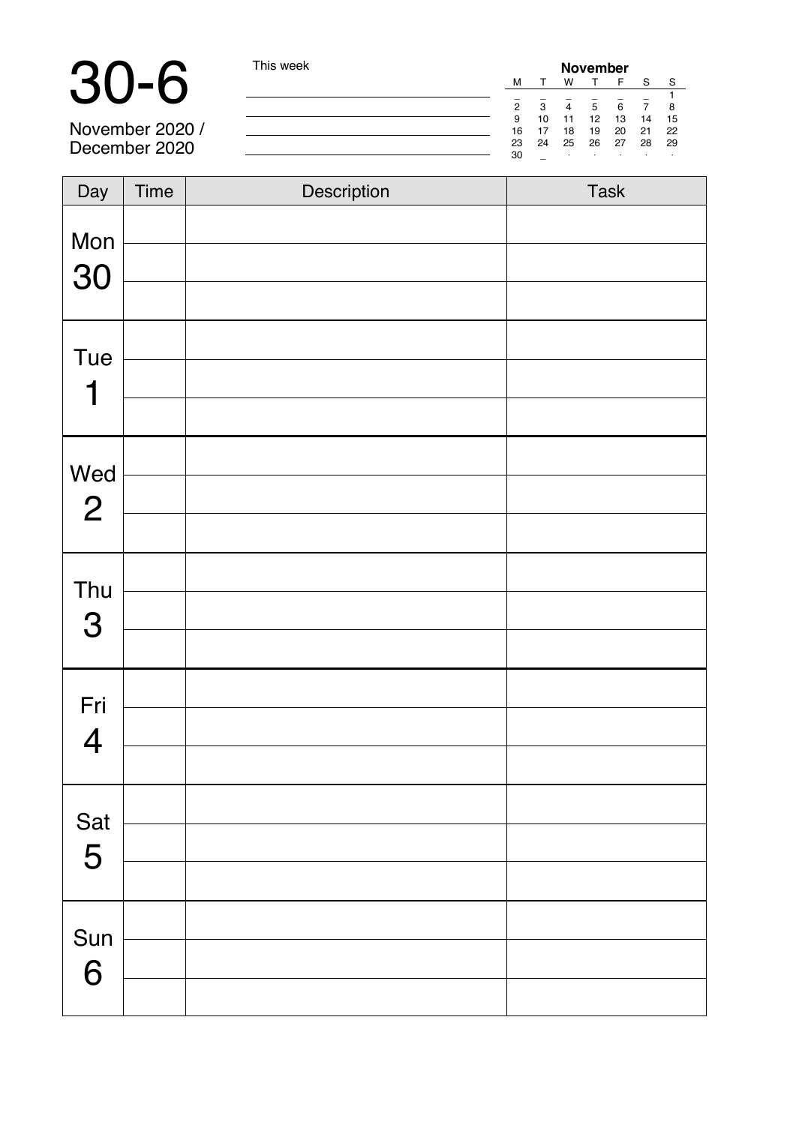**30-6** This week **November** 2020 / **Interference 2020 / <b>Interference 2020** / **Interference 2020** / **Interference 2020** / **Interference 2020** / **Interference 2020** *Interference 2020 Interference 2020 Interference 202* 

November 2020 / December 2020

| Day            | Time | Description | Task |
|----------------|------|-------------|------|
| Mon<br>30      |      |             |      |
|                |      |             |      |
| Tue            |      |             |      |
| 1              |      |             |      |
|                |      |             |      |
| Wed            |      |             |      |
| $\mathbf{2}$   |      |             |      |
| Thu            |      |             |      |
| $\mathbf 3$    |      |             |      |
|                |      |             |      |
| Fri            |      |             |      |
| $\overline{4}$ |      |             |      |
|                |      |             |      |
| Sat            |      |             |      |
| 5              |      |             |      |
|                |      |             |      |
| Sun            |      |             |      |
| 6              |      |             |      |
|                |      |             |      |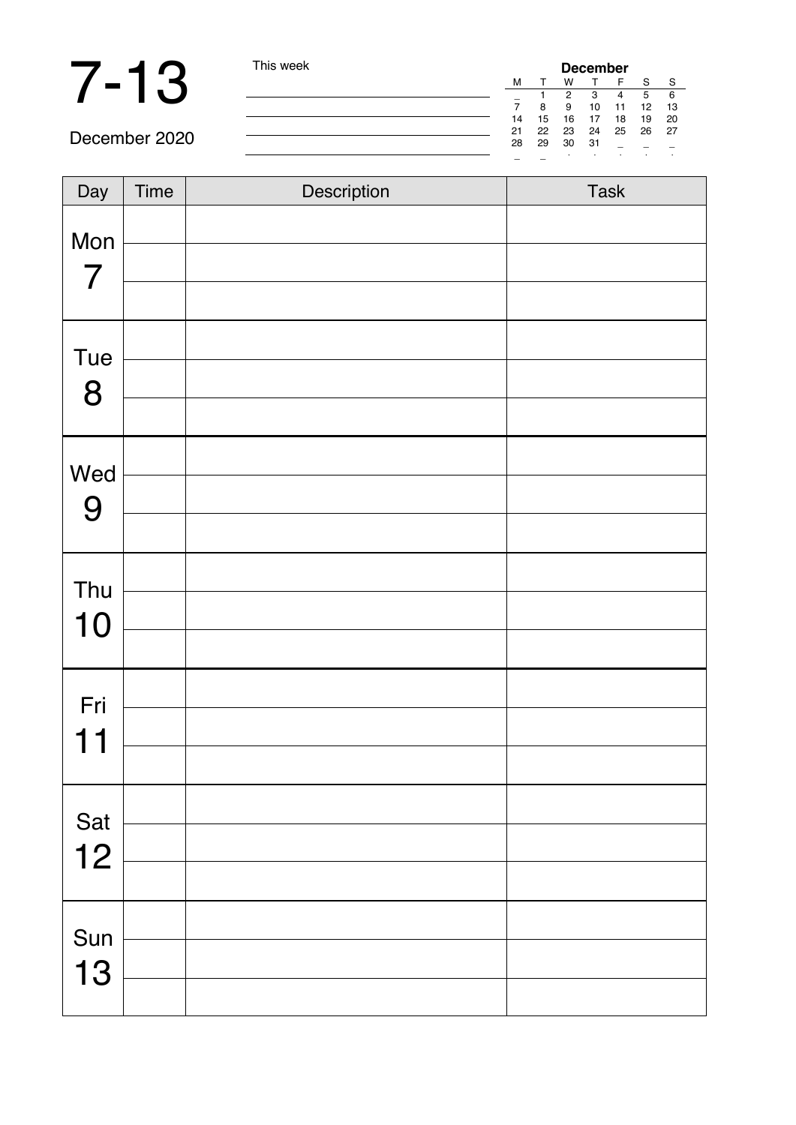# 7 - 13 This week

| December |    |    |    |    |    |    |
|----------|----|----|----|----|----|----|
| М        |    | w  |    | F  | S  | s  |
|          |    | 2  | з  | 4  | 5  | 6  |
|          | 8  | я  | 10 | 11 | 12 | 13 |
| 14       | 15 | 16 | 17 | 18 | 19 | 20 |
| 21       | 22 | 23 | 24 | 25 | 26 | 27 |
| 28       | 29 | 30 | 31 |    |    |    |
|          |    |    |    | i. | i. | ٠  |

December 2020

| $\overline{Day}$ | Time | Description | Task |
|------------------|------|-------------|------|
| Mon              |      |             |      |
| $\overline{7}$   |      |             |      |
|                  |      |             |      |
| Tue              |      |             |      |
| 8                |      |             |      |
|                  |      |             |      |
| Wed              |      |             |      |
| 9                |      |             |      |
|                  |      |             |      |
| Thu              |      |             |      |
| 10               |      |             |      |
|                  |      |             |      |
| Fri              |      |             |      |
| 11               |      |             |      |
|                  |      |             |      |
| Sat              |      |             |      |
| 12               |      |             |      |
|                  |      |             |      |
| Sun              |      |             |      |
| 13               |      |             |      |
|                  |      |             |      |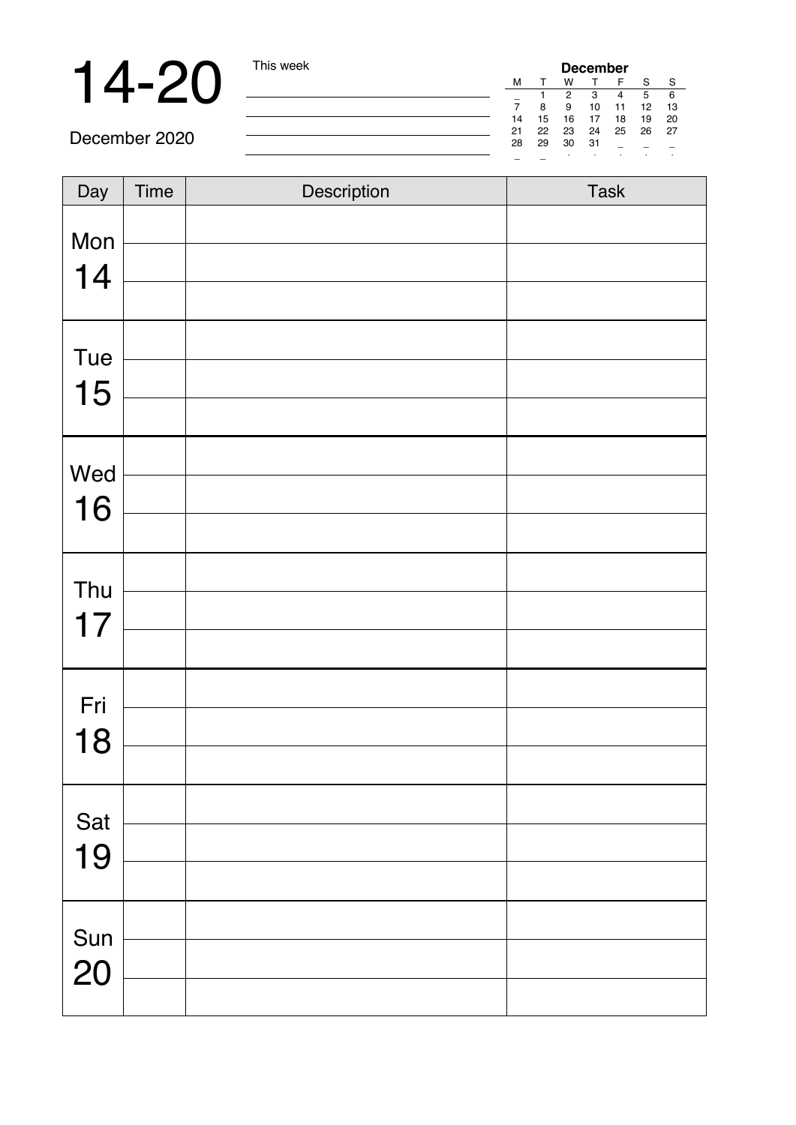**14-20** This week **December** 2020

December 2020

| Day | Time | Description | Task |
|-----|------|-------------|------|
| Mon |      |             |      |
| 14  |      |             |      |
|     |      |             |      |
| Tue |      |             |      |
| 15  |      |             |      |
|     |      |             |      |
| Wed |      |             |      |
| 16  |      |             |      |
|     |      |             |      |
| Thu |      |             |      |
| 17  |      |             |      |
|     |      |             |      |
| Fri |      |             |      |
| 18  |      |             |      |
|     |      |             |      |
| Sat |      |             |      |
| 19  |      |             |      |
|     |      |             |      |
| Sun |      |             |      |
| 20  |      |             |      |
|     |      |             |      |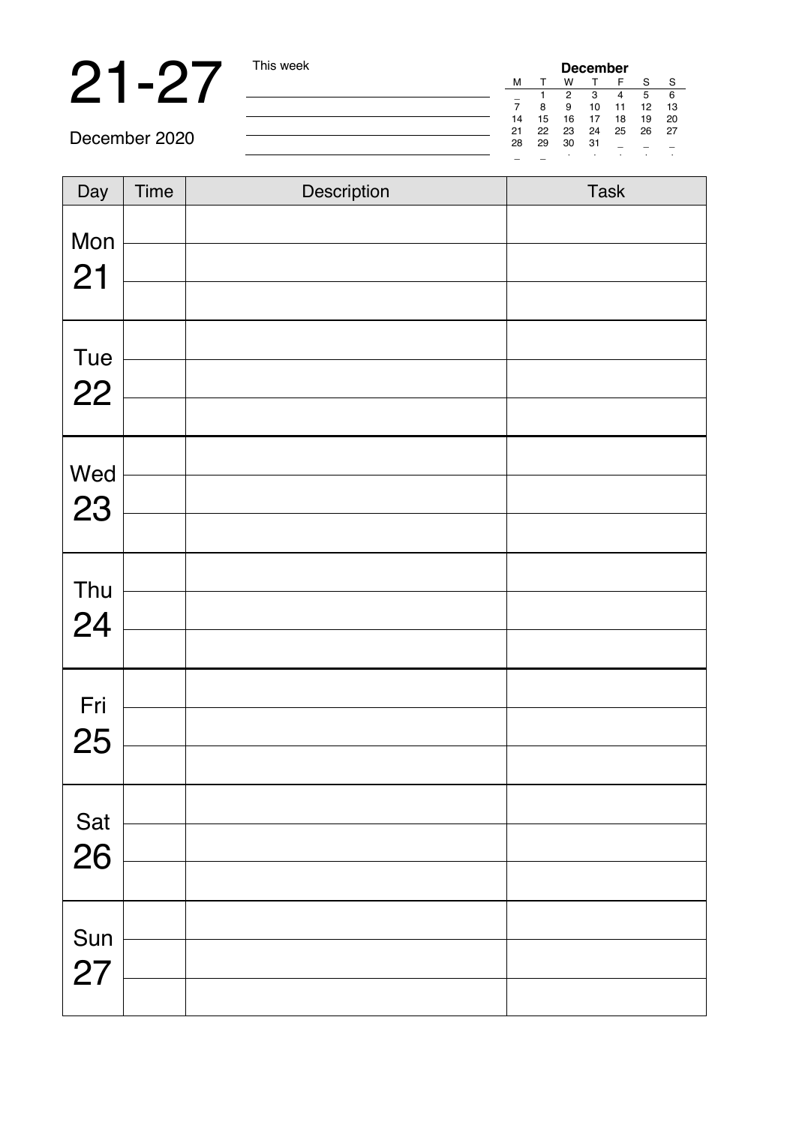**21 -27** This week **December** 2020

December 2020

| Day | Time | Description | Task |
|-----|------|-------------|------|
| Mon |      |             |      |
| 21  |      |             |      |
|     |      |             |      |
| Tue |      |             |      |
| 22  |      |             |      |
|     |      |             |      |
| Wed |      |             |      |
| 23  |      |             |      |
|     |      |             |      |
| Thu |      |             |      |
| 24  |      |             |      |
|     |      |             |      |
| Fri |      |             |      |
| 25  |      |             |      |
|     |      |             |      |
| Sat |      |             |      |
| 26  |      |             |      |
|     |      |             |      |
| Sun |      |             |      |
| 27  |      |             |      |
|     |      |             |      |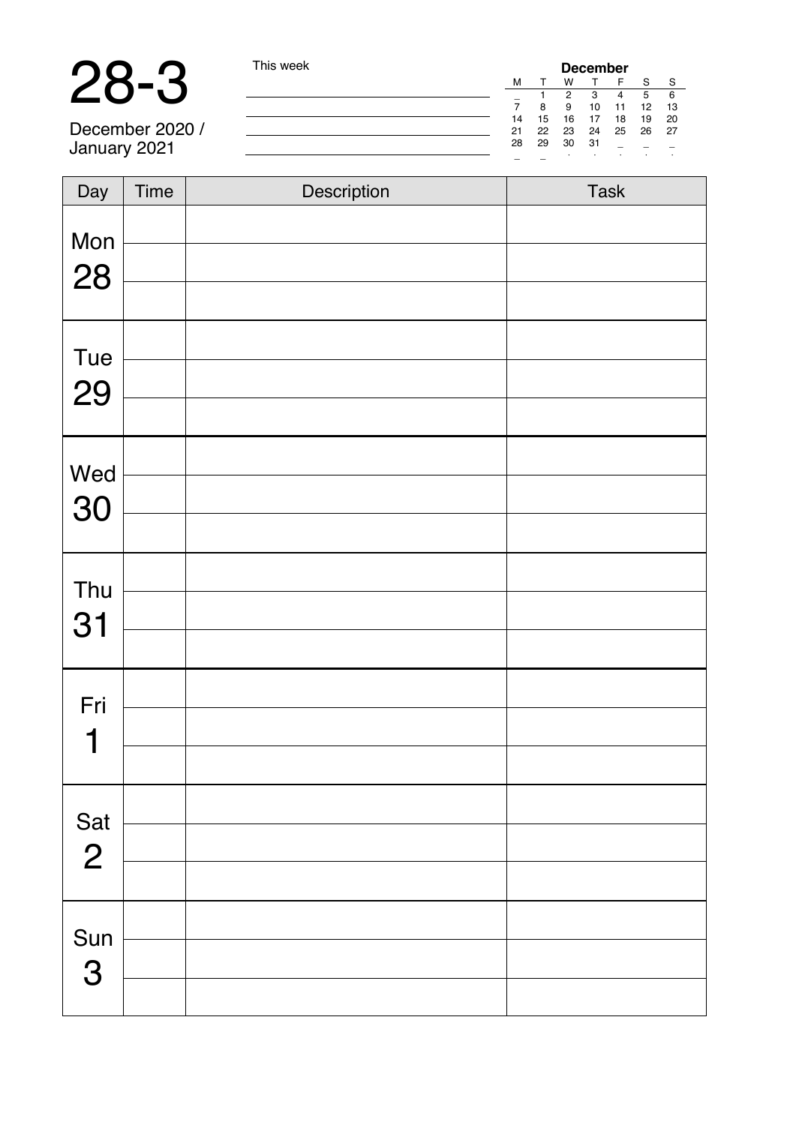# 28-3 This week

December 2020 / January 2021

| <b>December</b> |    |    |    |    |    |    |    |
|-----------------|----|----|----|----|----|----|----|
|                 | м  |    | w  |    | F  | s  | s  |
|                 |    |    | 2  | з  |    | 5  | 6  |
|                 |    | 8  | я  | 10 | 11 | 12 | 13 |
|                 | 14 | 15 | 16 | 17 | 18 | 19 | 20 |
|                 | 21 | 22 | 23 | 24 | 25 | 26 | 27 |
|                 | 28 | 29 | 30 | 31 | ۰  |    |    |
|                 |    |    | ٠  | ٠  | i. | i. | ٠  |

| Day            | Time | Description | Task |
|----------------|------|-------------|------|
| Mon            |      |             |      |
| 28             |      |             |      |
|                |      |             |      |
|                |      |             |      |
| Tue<br>29      |      |             |      |
|                |      |             |      |
| Wed            |      |             |      |
| 30             |      |             |      |
|                |      |             |      |
| Thu            |      |             |      |
| 31             |      |             |      |
|                |      |             |      |
| Fri            |      |             |      |
| 1              |      |             |      |
|                |      |             |      |
| Sat            |      |             |      |
| $\overline{2}$ |      |             |      |
|                |      |             |      |
| Sun            |      |             |      |
| 3              |      |             |      |
|                |      |             |      |